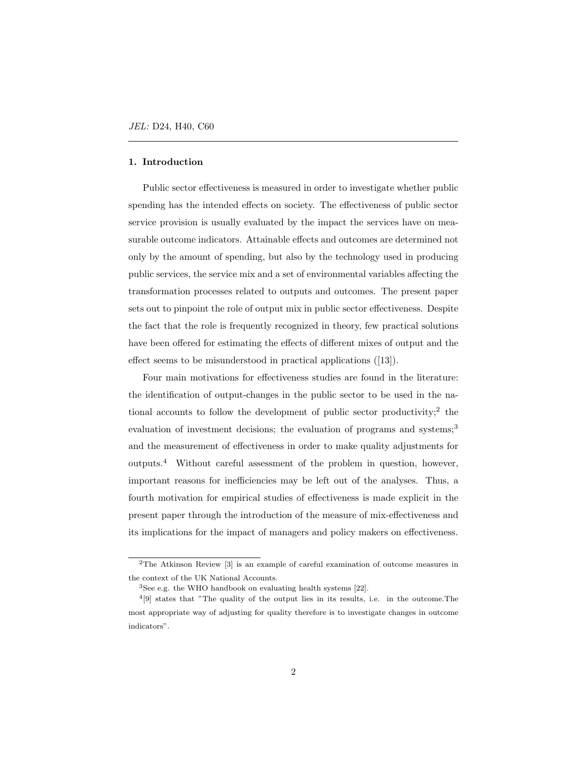#### 1. Introduction

Public sector effectiveness is measured in order to investigate whether public spending has the intended effects on society. The effectiveness of public sector service provision is usually evaluated by the impact the services have on measurable outcome indicators. Attainable effects and outcomes are determined not only by the amount of spending, but also by the technology used in producing public services, the service mix and a set of environmental variables affecting the transformation processes related to outputs and outcomes. The present paper sets out to pinpoint the role of output mix in public sector effectiveness. Despite the fact that the role is frequently recognized in theory, few practical solutions have been offered for estimating the effects of different mixes of output and the effect seems to be misunderstood in practical applications ([13]).

Four main motivations for effectiveness studies are found in the literature: the identification of output-changes in the public sector to be used in the national accounts to follow the development of public sector productivity;<sup>2</sup> the evaluation of investment decisions; the evaluation of programs and systems;<sup>3</sup> and the measurement of effectiveness in order to make quality adjustments for outputs.<sup>4</sup> Without careful assessment of the problem in question, however, important reasons for inefficiencies may be left out of the analyses. Thus, a fourth motivation for empirical studies of effectiveness is made explicit in the present paper through the introduction of the measure of mix-effectiveness and its implications for the impact of managers and policy makers on effectiveness.

<sup>2</sup>The Atkinson Review [3] is an example of careful examination of outcome measures in the context of the UK National Accounts.

<sup>3</sup>See e.g. the WHO handbook on evaluating health systems [22].

<sup>4</sup> [9] states that "The quality of the output lies in its results, i.e. in the outcome.The most appropriate way of adjusting for quality therefore is to investigate changes in outcome indicators".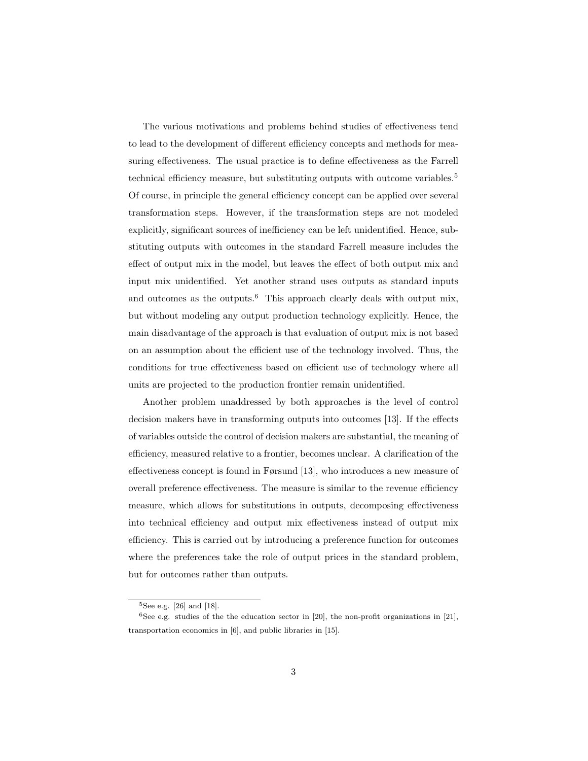The various motivations and problems behind studies of effectiveness tend to lead to the development of different efficiency concepts and methods for measuring effectiveness. The usual practice is to define effectiveness as the Farrell technical efficiency measure, but substituting outputs with outcome variables.<sup>5</sup> Of course, in principle the general efficiency concept can be applied over several transformation steps. However, if the transformation steps are not modeled explicitly, significant sources of inefficiency can be left unidentified. Hence, substituting outputs with outcomes in the standard Farrell measure includes the effect of output mix in the model, but leaves the effect of both output mix and input mix unidentified. Yet another strand uses outputs as standard inputs and outcomes as the outputs.<sup>6</sup> This approach clearly deals with output mix, but without modeling any output production technology explicitly. Hence, the main disadvantage of the approach is that evaluation of output mix is not based on an assumption about the efficient use of the technology involved. Thus, the conditions for true effectiveness based on efficient use of technology where all units are projected to the production frontier remain unidentified.

Another problem unaddressed by both approaches is the level of control decision makers have in transforming outputs into outcomes [13]. If the effects of variables outside the control of decision makers are substantial, the meaning of efficiency, measured relative to a frontier, becomes unclear. A clarification of the effectiveness concept is found in Førsund [13], who introduces a new measure of overall preference effectiveness. The measure is similar to the revenue efficiency measure, which allows for substitutions in outputs, decomposing effectiveness into technical efficiency and output mix effectiveness instead of output mix efficiency. This is carried out by introducing a preference function for outcomes where the preferences take the role of output prices in the standard problem, but for outcomes rather than outputs.

 ${}^{5}$ See e.g. [26] and [18].

<sup>&</sup>lt;sup>6</sup>See e.g. studies of the the education sector in [20], the non-profit organizations in [21], transportation economics in [6], and public libraries in [15].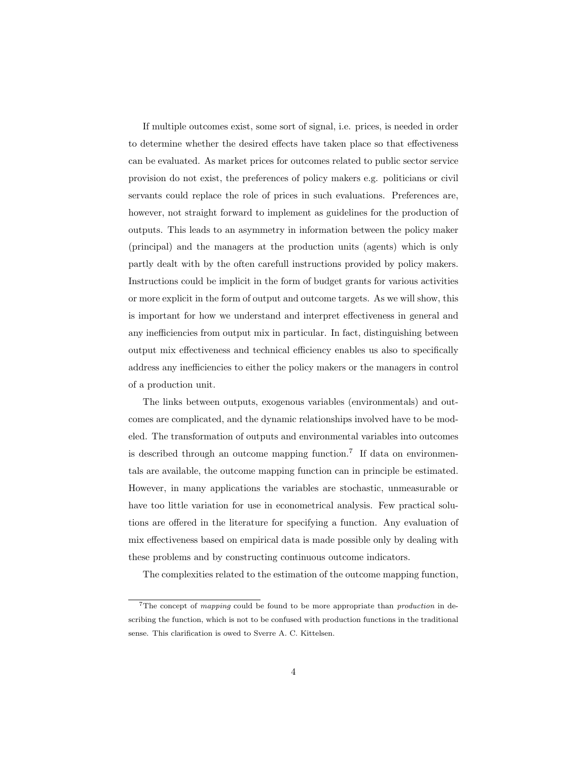If multiple outcomes exist, some sort of signal, i.e. prices, is needed in order to determine whether the desired effects have taken place so that effectiveness can be evaluated. As market prices for outcomes related to public sector service provision do not exist, the preferences of policy makers e.g. politicians or civil servants could replace the role of prices in such evaluations. Preferences are, however, not straight forward to implement as guidelines for the production of outputs. This leads to an asymmetry in information between the policy maker (principal) and the managers at the production units (agents) which is only partly dealt with by the often carefull instructions provided by policy makers. Instructions could be implicit in the form of budget grants for various activities or more explicit in the form of output and outcome targets. As we will show, this is important for how we understand and interpret effectiveness in general and any inefficiencies from output mix in particular. In fact, distinguishing between output mix effectiveness and technical efficiency enables us also to specifically address any inefficiencies to either the policy makers or the managers in control of a production unit.

The links between outputs, exogenous variables (environmentals) and outcomes are complicated, and the dynamic relationships involved have to be modeled. The transformation of outputs and environmental variables into outcomes is described through an outcome mapping function.<sup>7</sup> If data on environmentals are available, the outcome mapping function can in principle be estimated. However, in many applications the variables are stochastic, unmeasurable or have too little variation for use in econometrical analysis. Few practical solutions are offered in the literature for specifying a function. Any evaluation of mix effectiveness based on empirical data is made possible only by dealing with these problems and by constructing continuous outcome indicators.

The complexities related to the estimation of the outcome mapping function,

<sup>&</sup>lt;sup>7</sup>The concept of *mapping* could be found to be more appropriate than *production* in describing the function, which is not to be confused with production functions in the traditional sense. This clarification is owed to Sverre A. C. Kittelsen.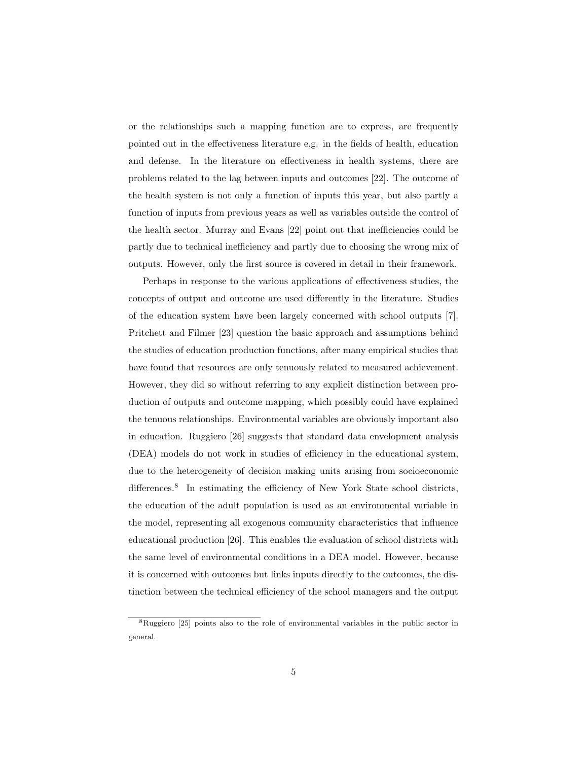or the relationships such a mapping function are to express, are frequently pointed out in the effectiveness literature e.g. in the fields of health, education and defense. In the literature on effectiveness in health systems, there are problems related to the lag between inputs and outcomes [22]. The outcome of the health system is not only a function of inputs this year, but also partly a function of inputs from previous years as well as variables outside the control of the health sector. Murray and Evans [22] point out that inefficiencies could be partly due to technical inefficiency and partly due to choosing the wrong mix of outputs. However, only the first source is covered in detail in their framework.

Perhaps in response to the various applications of effectiveness studies, the concepts of output and outcome are used differently in the literature. Studies of the education system have been largely concerned with school outputs [7]. Pritchett and Filmer [23] question the basic approach and assumptions behind the studies of education production functions, after many empirical studies that have found that resources are only tenuously related to measured achievement. However, they did so without referring to any explicit distinction between production of outputs and outcome mapping, which possibly could have explained the tenuous relationships. Environmental variables are obviously important also in education. Ruggiero [26] suggests that standard data envelopment analysis (DEA) models do not work in studies of efficiency in the educational system, due to the heterogeneity of decision making units arising from socioeconomic differences.<sup>8</sup> In estimating the efficiency of New York State school districts, the education of the adult population is used as an environmental variable in the model, representing all exogenous community characteristics that influence educational production [26]. This enables the evaluation of school districts with the same level of environmental conditions in a DEA model. However, because it is concerned with outcomes but links inputs directly to the outcomes, the distinction between the technical efficiency of the school managers and the output

<sup>8</sup>Ruggiero [25] points also to the role of environmental variables in the public sector in general.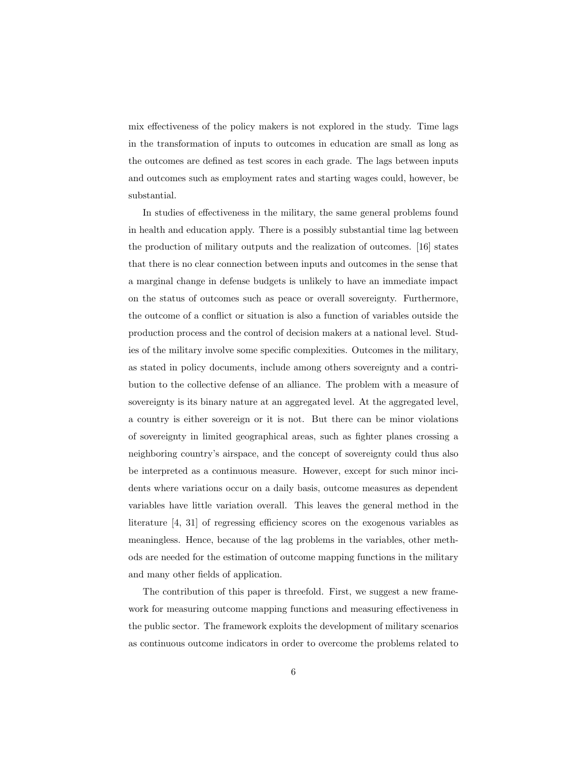mix effectiveness of the policy makers is not explored in the study. Time lags in the transformation of inputs to outcomes in education are small as long as the outcomes are defined as test scores in each grade. The lags between inputs and outcomes such as employment rates and starting wages could, however, be substantial.

In studies of effectiveness in the military, the same general problems found in health and education apply. There is a possibly substantial time lag between the production of military outputs and the realization of outcomes. [16] states that there is no clear connection between inputs and outcomes in the sense that a marginal change in defense budgets is unlikely to have an immediate impact on the status of outcomes such as peace or overall sovereignty. Furthermore, the outcome of a conflict or situation is also a function of variables outside the production process and the control of decision makers at a national level. Studies of the military involve some specific complexities. Outcomes in the military, as stated in policy documents, include among others sovereignty and a contribution to the collective defense of an alliance. The problem with a measure of sovereignty is its binary nature at an aggregated level. At the aggregated level, a country is either sovereign or it is not. But there can be minor violations of sovereignty in limited geographical areas, such as fighter planes crossing a neighboring country's airspace, and the concept of sovereignty could thus also be interpreted as a continuous measure. However, except for such minor incidents where variations occur on a daily basis, outcome measures as dependent variables have little variation overall. This leaves the general method in the literature [4, 31] of regressing efficiency scores on the exogenous variables as meaningless. Hence, because of the lag problems in the variables, other methods are needed for the estimation of outcome mapping functions in the military and many other fields of application.

The contribution of this paper is threefold. First, we suggest a new framework for measuring outcome mapping functions and measuring effectiveness in the public sector. The framework exploits the development of military scenarios as continuous outcome indicators in order to overcome the problems related to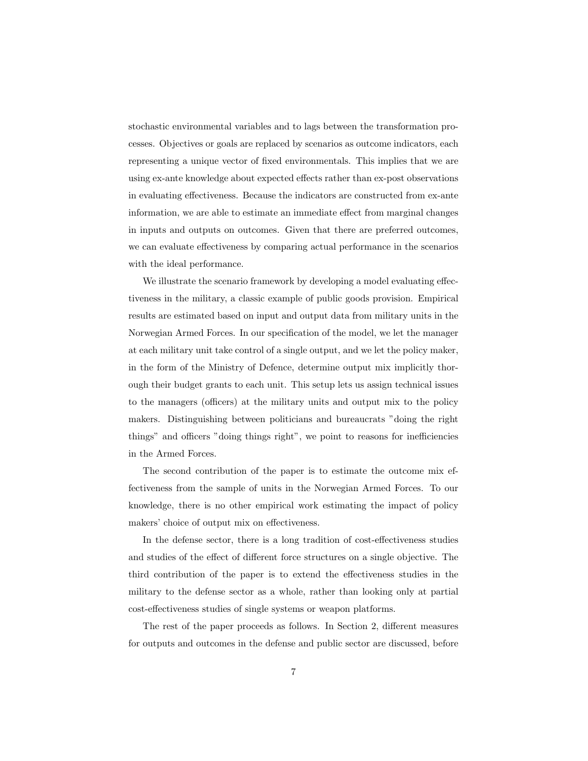stochastic environmental variables and to lags between the transformation processes. Objectives or goals are replaced by scenarios as outcome indicators, each representing a unique vector of fixed environmentals. This implies that we are using ex-ante knowledge about expected effects rather than ex-post observations in evaluating effectiveness. Because the indicators are constructed from ex-ante information, we are able to estimate an immediate effect from marginal changes in inputs and outputs on outcomes. Given that there are preferred outcomes, we can evaluate effectiveness by comparing actual performance in the scenarios with the ideal performance.

We illustrate the scenario framework by developing a model evaluating effectiveness in the military, a classic example of public goods provision. Empirical results are estimated based on input and output data from military units in the Norwegian Armed Forces. In our specification of the model, we let the manager at each military unit take control of a single output, and we let the policy maker, in the form of the Ministry of Defence, determine output mix implicitly thorough their budget grants to each unit. This setup lets us assign technical issues to the managers (officers) at the military units and output mix to the policy makers. Distinguishing between politicians and bureaucrats "doing the right things" and officers "doing things right", we point to reasons for inefficiencies in the Armed Forces.

The second contribution of the paper is to estimate the outcome mix effectiveness from the sample of units in the Norwegian Armed Forces. To our knowledge, there is no other empirical work estimating the impact of policy makers' choice of output mix on effectiveness.

In the defense sector, there is a long tradition of cost-effectiveness studies and studies of the effect of different force structures on a single objective. The third contribution of the paper is to extend the effectiveness studies in the military to the defense sector as a whole, rather than looking only at partial cost-effectiveness studies of single systems or weapon platforms.

The rest of the paper proceeds as follows. In Section 2, different measures for outputs and outcomes in the defense and public sector are discussed, before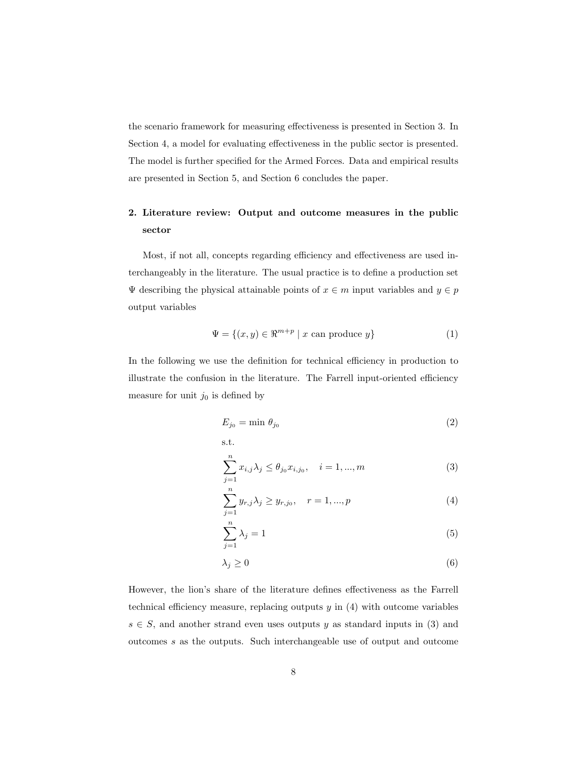the scenario framework for measuring effectiveness is presented in Section 3. In Section 4, a model for evaluating effectiveness in the public sector is presented. The model is further specified for the Armed Forces. Data and empirical results are presented in Section 5, and Section 6 concludes the paper.

# 2. Literature review: Output and outcome measures in the public sector

Most, if not all, concepts regarding efficiency and effectiveness are used interchangeably in the literature. The usual practice is to define a production set  $\Psi$  describing the physical attainable points of  $x \in m$  input variables and  $y \in p$ output variables

$$
\Psi = \{(x, y) \in \mathbb{R}^{m+p} \mid x \text{ can produce } y\}
$$
\n<sup>(1)</sup>

In the following we use the definition for technical efficiency in production to illustrate the confusion in the literature. The Farrell input-oriented efficiency measure for unit  $j_0$  is defined by

$$
E_{j_0} = \min \theta_{j_0} \tag{2}
$$

s.t.

 $\overline{m}$ 

$$
\sum_{j=1}^{n} x_{i,j} \lambda_j \le \theta_{j_0} x_{i,j_0}, \quad i = 1, ..., m
$$
 (3)

$$
\sum_{j=1}^{n} y_{r,j} \lambda_j \ge y_{r,j_0}, \quad r = 1, ..., p
$$
 (4)

$$
\sum_{j=1}^{n} \lambda_j = 1 \tag{5}
$$

$$
\lambda_j \ge 0 \tag{6}
$$

However, the lion's share of the literature defines effectiveness as the Farrell technical efficiency measure, replacing outputs  $y$  in  $(4)$  with outcome variables  $s \in S$ , and another strand even uses outputs y as standard inputs in (3) and outcomes s as the outputs. Such interchangeable use of output and outcome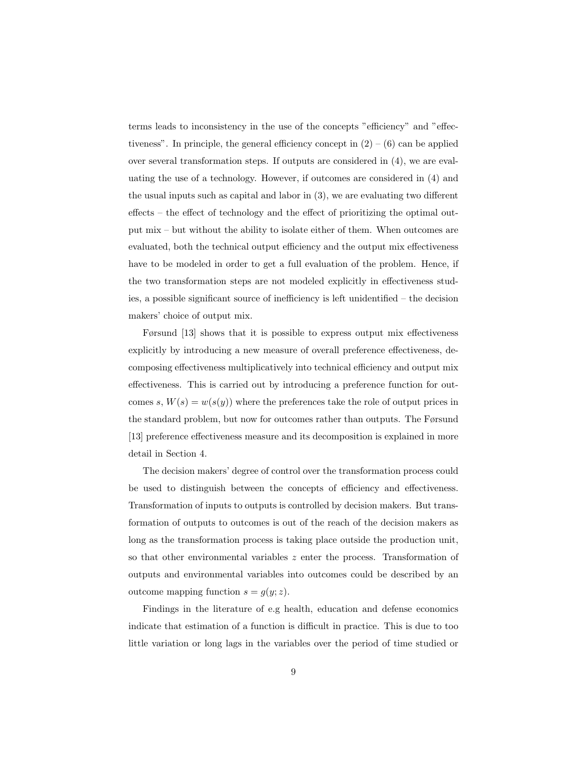terms leads to inconsistency in the use of the concepts "efficiency" and "effectiveness". In principle, the general efficiency concept in  $(2) - (6)$  can be applied over several transformation steps. If outputs are considered in (4), we are evaluating the use of a technology. However, if outcomes are considered in (4) and the usual inputs such as capital and labor in (3), we are evaluating two different effects – the effect of technology and the effect of prioritizing the optimal output mix – but without the ability to isolate either of them. When outcomes are evaluated, both the technical output efficiency and the output mix effectiveness have to be modeled in order to get a full evaluation of the problem. Hence, if the two transformation steps are not modeled explicitly in effectiveness studies, a possible significant source of inefficiency is left unidentified – the decision makers' choice of output mix.

Førsund [13] shows that it is possible to express output mix effectiveness explicitly by introducing a new measure of overall preference effectiveness, decomposing effectiveness multiplicatively into technical efficiency and output mix effectiveness. This is carried out by introducing a preference function for outcomes s,  $W(s) = w(s(y))$  where the preferences take the role of output prices in the standard problem, but now for outcomes rather than outputs. The Førsund [13] preference effectiveness measure and its decomposition is explained in more detail in Section 4.

The decision makers' degree of control over the transformation process could be used to distinguish between the concepts of efficiency and effectiveness. Transformation of inputs to outputs is controlled by decision makers. But transformation of outputs to outcomes is out of the reach of the decision makers as long as the transformation process is taking place outside the production unit, so that other environmental variables  $z$  enter the process. Transformation of outputs and environmental variables into outcomes could be described by an outcome mapping function  $s = g(y; z)$ .

Findings in the literature of e.g health, education and defense economics indicate that estimation of a function is difficult in practice. This is due to too little variation or long lags in the variables over the period of time studied or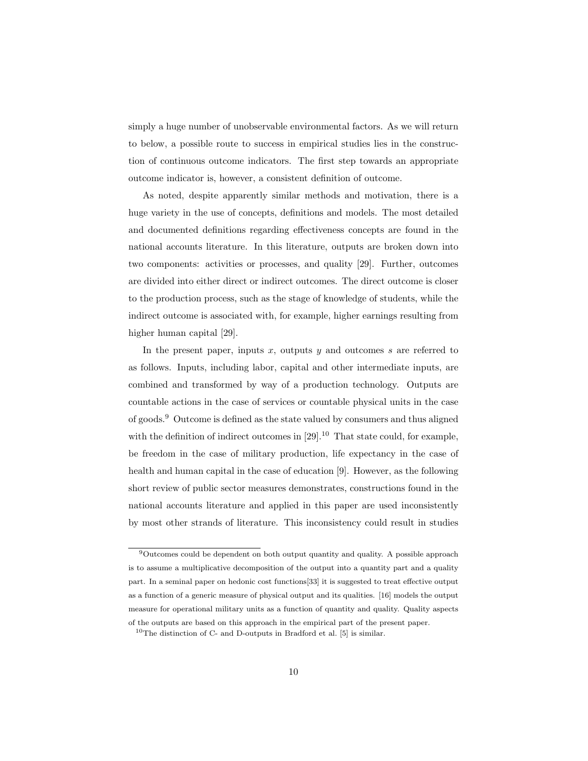simply a huge number of unobservable environmental factors. As we will return to below, a possible route to success in empirical studies lies in the construction of continuous outcome indicators. The first step towards an appropriate outcome indicator is, however, a consistent definition of outcome.

As noted, despite apparently similar methods and motivation, there is a huge variety in the use of concepts, definitions and models. The most detailed and documented definitions regarding effectiveness concepts are found in the national accounts literature. In this literature, outputs are broken down into two components: activities or processes, and quality [29]. Further, outcomes are divided into either direct or indirect outcomes. The direct outcome is closer to the production process, such as the stage of knowledge of students, while the indirect outcome is associated with, for example, higher earnings resulting from higher human capital [29].

In the present paper, inputs  $x$ , outputs  $y$  and outcomes  $s$  are referred to as follows. Inputs, including labor, capital and other intermediate inputs, are combined and transformed by way of a production technology. Outputs are countable actions in the case of services or countable physical units in the case of goods.<sup>9</sup> Outcome is defined as the state valued by consumers and thus aligned with the definition of indirect outcomes in  $[29]$ .<sup>10</sup> That state could, for example, be freedom in the case of military production, life expectancy in the case of health and human capital in the case of education [9]. However, as the following short review of public sector measures demonstrates, constructions found in the national accounts literature and applied in this paper are used inconsistently by most other strands of literature. This inconsistency could result in studies

<sup>9</sup>Outcomes could be dependent on both output quantity and quality. A possible approach is to assume a multiplicative decomposition of the output into a quantity part and a quality part. In a seminal paper on hedonic cost functions[33] it is suggested to treat effective output as a function of a generic measure of physical output and its qualities. [16] models the output measure for operational military units as a function of quantity and quality. Quality aspects of the outputs are based on this approach in the empirical part of the present paper.

 $^{10}\mathrm{The}$  distinction of C- and D-outputs in Bradford et al. [5] is similar.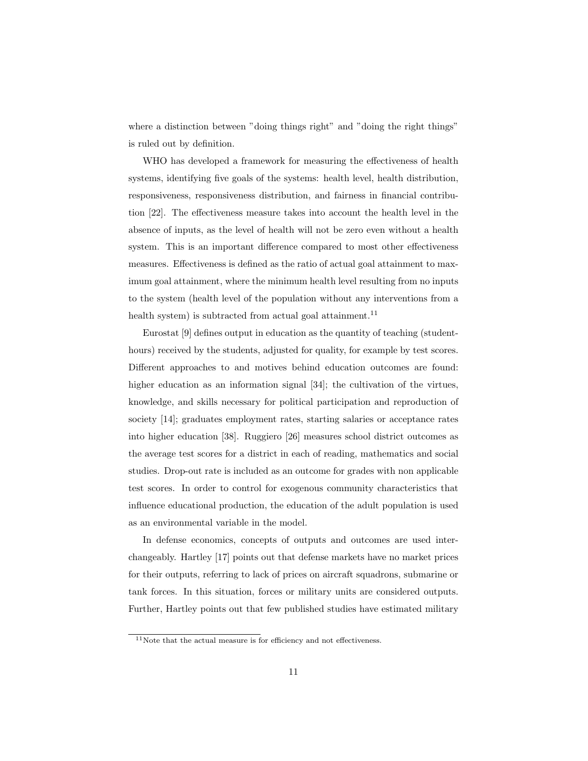where a distinction between "doing things right" and "doing the right things" is ruled out by definition.

WHO has developed a framework for measuring the effectiveness of health systems, identifying five goals of the systems: health level, health distribution, responsiveness, responsiveness distribution, and fairness in financial contribution [22]. The effectiveness measure takes into account the health level in the absence of inputs, as the level of health will not be zero even without a health system. This is an important difference compared to most other effectiveness measures. Effectiveness is defined as the ratio of actual goal attainment to maximum goal attainment, where the minimum health level resulting from no inputs to the system (health level of the population without any interventions from a health system) is subtracted from actual goal attainment.<sup>11</sup>

Eurostat [9] defines output in education as the quantity of teaching (studenthours) received by the students, adjusted for quality, for example by test scores. Different approaches to and motives behind education outcomes are found: higher education as an information signal [34]; the cultivation of the virtues, knowledge, and skills necessary for political participation and reproduction of society [14]; graduates employment rates, starting salaries or acceptance rates into higher education [38]. Ruggiero [26] measures school district outcomes as the average test scores for a district in each of reading, mathematics and social studies. Drop-out rate is included as an outcome for grades with non applicable test scores. In order to control for exogenous community characteristics that influence educational production, the education of the adult population is used as an environmental variable in the model.

In defense economics, concepts of outputs and outcomes are used interchangeably. Hartley [17] points out that defense markets have no market prices for their outputs, referring to lack of prices on aircraft squadrons, submarine or tank forces. In this situation, forces or military units are considered outputs. Further, Hartley points out that few published studies have estimated military

 $^{11}\rm{Note}$  that the actual measure is for efficiency and not effectiveness.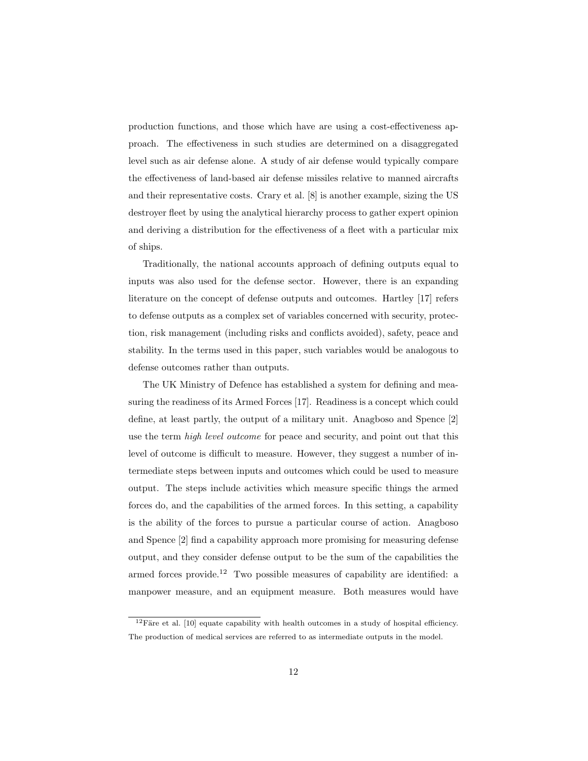production functions, and those which have are using a cost-effectiveness approach. The effectiveness in such studies are determined on a disaggregated level such as air defense alone. A study of air defense would typically compare the effectiveness of land-based air defense missiles relative to manned aircrafts and their representative costs. Crary et al. [8] is another example, sizing the US destroyer fleet by using the analytical hierarchy process to gather expert opinion and deriving a distribution for the effectiveness of a fleet with a particular mix of ships.

Traditionally, the national accounts approach of defining outputs equal to inputs was also used for the defense sector. However, there is an expanding literature on the concept of defense outputs and outcomes. Hartley [17] refers to defense outputs as a complex set of variables concerned with security, protection, risk management (including risks and conflicts avoided), safety, peace and stability. In the terms used in this paper, such variables would be analogous to defense outcomes rather than outputs.

The UK Ministry of Defence has established a system for defining and measuring the readiness of its Armed Forces [17]. Readiness is a concept which could define, at least partly, the output of a military unit. Anagboso and Spence [2] use the term high level outcome for peace and security, and point out that this level of outcome is difficult to measure. However, they suggest a number of intermediate steps between inputs and outcomes which could be used to measure output. The steps include activities which measure specific things the armed forces do, and the capabilities of the armed forces. In this setting, a capability is the ability of the forces to pursue a particular course of action. Anagboso and Spence [2] find a capability approach more promising for measuring defense output, and they consider defense output to be the sum of the capabilities the armed forces provide.<sup>12</sup> Two possible measures of capability are identified: a manpower measure, and an equipment measure. Both measures would have

 $12$ Färe et al. [10] equate capability with health outcomes in a study of hospital efficiency. The production of medical services are referred to as intermediate outputs in the model.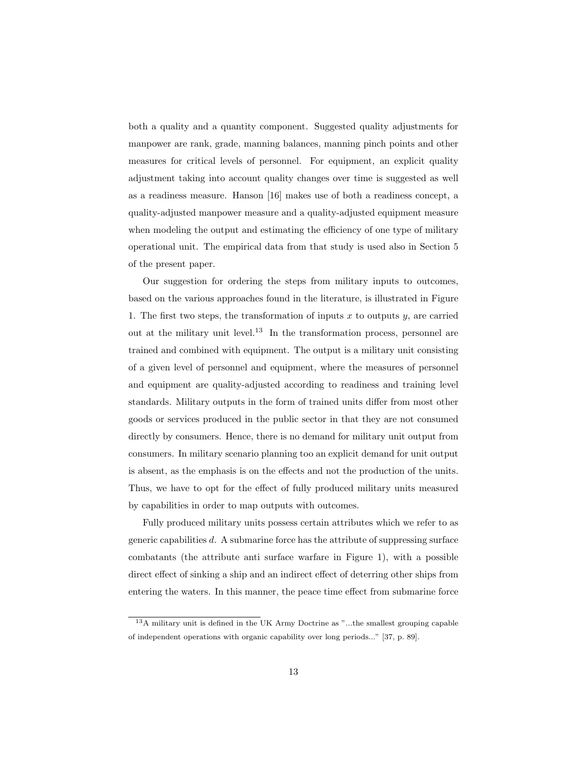both a quality and a quantity component. Suggested quality adjustments for manpower are rank, grade, manning balances, manning pinch points and other measures for critical levels of personnel. For equipment, an explicit quality adjustment taking into account quality changes over time is suggested as well as a readiness measure. Hanson [16] makes use of both a readiness concept, a quality-adjusted manpower measure and a quality-adjusted equipment measure when modeling the output and estimating the efficiency of one type of military operational unit. The empirical data from that study is used also in Section 5 of the present paper.

Our suggestion for ordering the steps from military inputs to outcomes, based on the various approaches found in the literature, is illustrated in Figure 1. The first two steps, the transformation of inputs  $x$  to outputs  $y$ , are carried out at the military unit level.<sup>13</sup> In the transformation process, personnel are trained and combined with equipment. The output is a military unit consisting of a given level of personnel and equipment, where the measures of personnel and equipment are quality-adjusted according to readiness and training level standards. Military outputs in the form of trained units differ from most other goods or services produced in the public sector in that they are not consumed directly by consumers. Hence, there is no demand for military unit output from consumers. In military scenario planning too an explicit demand for unit output is absent, as the emphasis is on the effects and not the production of the units. Thus, we have to opt for the effect of fully produced military units measured by capabilities in order to map outputs with outcomes.

Fully produced military units possess certain attributes which we refer to as generic capabilities d. A submarine force has the attribute of suppressing surface combatants (the attribute anti surface warfare in Figure 1), with a possible direct effect of sinking a ship and an indirect effect of deterring other ships from entering the waters. In this manner, the peace time effect from submarine force

<sup>13</sup>A military unit is defined in the UK Army Doctrine as "...the smallest grouping capable of independent operations with organic capability over long periods..." [37, p. 89].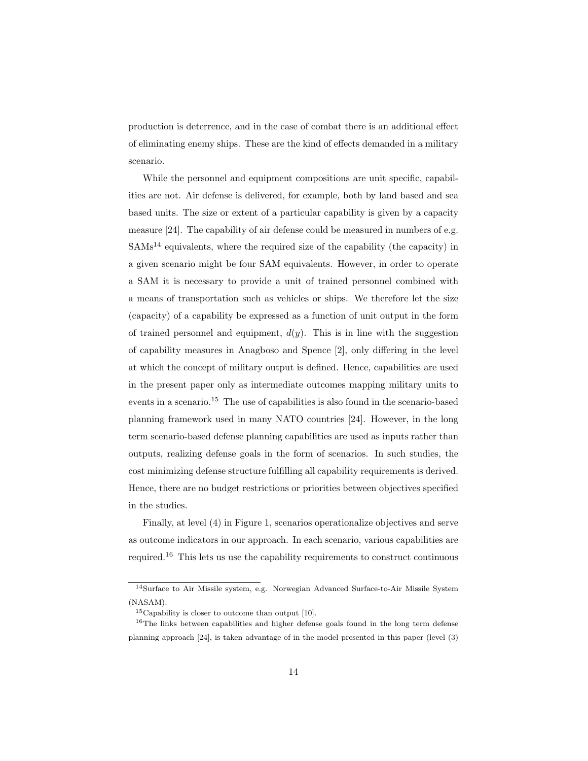production is deterrence, and in the case of combat there is an additional effect of eliminating enemy ships. These are the kind of effects demanded in a military scenario.

While the personnel and equipment compositions are unit specific, capabilities are not. Air defense is delivered, for example, both by land based and sea based units. The size or extent of a particular capability is given by a capacity measure [24]. The capability of air defense could be measured in numbers of e.g.  $SAMs<sup>14</sup>$  equivalents, where the required size of the capability (the capacity) in a given scenario might be four SAM equivalents. However, in order to operate a SAM it is necessary to provide a unit of trained personnel combined with a means of transportation such as vehicles or ships. We therefore let the size (capacity) of a capability be expressed as a function of unit output in the form of trained personnel and equipment,  $d(y)$ . This is in line with the suggestion of capability measures in Anagboso and Spence [2], only differing in the level at which the concept of military output is defined. Hence, capabilities are used in the present paper only as intermediate outcomes mapping military units to events in a scenario.<sup>15</sup> The use of capabilities is also found in the scenario-based planning framework used in many NATO countries [24]. However, in the long term scenario-based defense planning capabilities are used as inputs rather than outputs, realizing defense goals in the form of scenarios. In such studies, the cost minimizing defense structure fulfilling all capability requirements is derived. Hence, there are no budget restrictions or priorities between objectives specified in the studies.

Finally, at level (4) in Figure 1, scenarios operationalize objectives and serve as outcome indicators in our approach. In each scenario, various capabilities are required.<sup>16</sup> This lets us use the capability requirements to construct continuous

<sup>14</sup>Surface to Air Missile system, e.g. Norwegian Advanced Surface-to-Air Missile System (NASAM).

 $15$ Capability is closer to outcome than output [10].

<sup>16</sup>The links between capabilities and higher defense goals found in the long term defense planning approach [24], is taken advantage of in the model presented in this paper (level (3)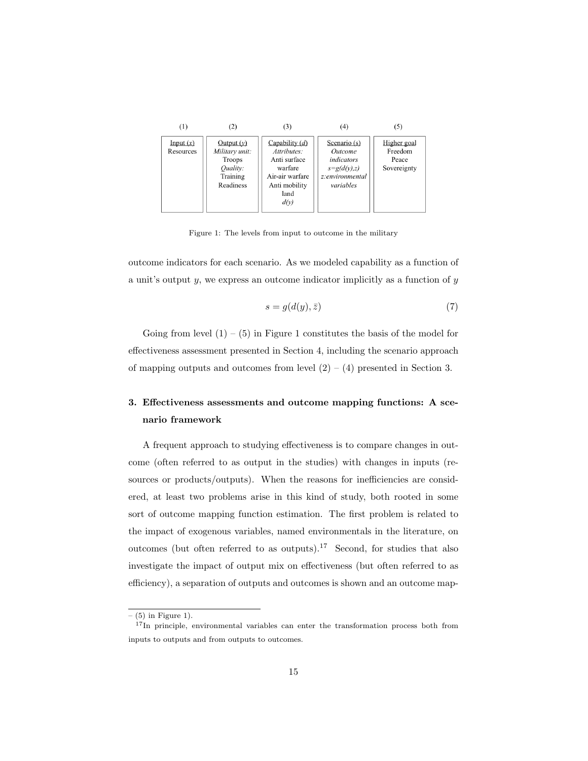|                          |                                                                               |                                                                                                                | $^{(4)}$                                                                                 |                                                |
|--------------------------|-------------------------------------------------------------------------------|----------------------------------------------------------------------------------------------------------------|------------------------------------------------------------------------------------------|------------------------------------------------|
| Input $(x)$<br>Resources | Output $(v)$<br>Military unit:<br>Troops<br>Ouality:<br>Training<br>Readiness | Capability $(d)$<br>Attributes:<br>Anti surface<br>warfare<br>Air-air warfare<br>Anti mobility<br>land<br>d(y) | Scenario (s)<br>Outcome<br>indicators<br>$s = g(d(y),z)$<br>z:environmental<br>variables | Higher goal<br>Freedom<br>Peace<br>Sovereignty |

Figure 1: The levels from input to outcome in the military

outcome indicators for each scenario. As we modeled capability as a function of a unit's output  $y$ , we express an outcome indicator implicitly as a function of  $y$ 

$$
s = g(d(y), \bar{z})\tag{7}
$$

Going from level  $(1) - (5)$  in Figure 1 constitutes the basis of the model for effectiveness assessment presented in Section 4, including the scenario approach of mapping outputs and outcomes from level  $(2) - (4)$  presented in Section 3.

## 3. Effectiveness assessments and outcome mapping functions: A scenario framework

A frequent approach to studying effectiveness is to compare changes in outcome (often referred to as output in the studies) with changes in inputs (resources or products/outputs). When the reasons for inefficiencies are considered, at least two problems arise in this kind of study, both rooted in some sort of outcome mapping function estimation. The first problem is related to the impact of exogenous variables, named environmentals in the literature, on outcomes (but often referred to as outputs).<sup>17</sup> Second, for studies that also investigate the impact of output mix on effectiveness (but often referred to as efficiency), a separation of outputs and outcomes is shown and an outcome map-

 $(5)$  in Figure 1).

<sup>17</sup>In principle, environmental variables can enter the transformation process both from inputs to outputs and from outputs to outcomes.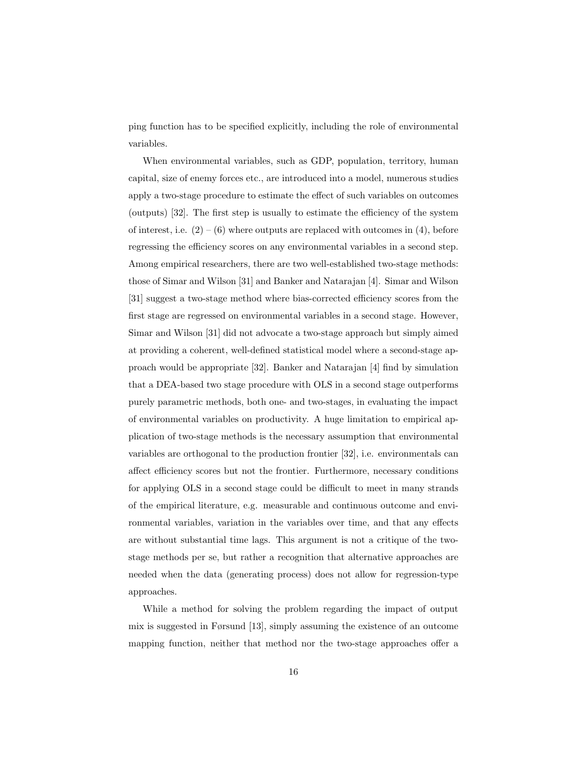ping function has to be specified explicitly, including the role of environmental variables.

When environmental variables, such as GDP, population, territory, human capital, size of enemy forces etc., are introduced into a model, numerous studies apply a two-stage procedure to estimate the effect of such variables on outcomes (outputs) [32]. The first step is usually to estimate the efficiency of the system of interest, i.e.  $(2) - (6)$  where outputs are replaced with outcomes in (4), before regressing the efficiency scores on any environmental variables in a second step. Among empirical researchers, there are two well-established two-stage methods: those of Simar and Wilson [31] and Banker and Natarajan [4]. Simar and Wilson [31] suggest a two-stage method where bias-corrected efficiency scores from the first stage are regressed on environmental variables in a second stage. However, Simar and Wilson [31] did not advocate a two-stage approach but simply aimed at providing a coherent, well-defined statistical model where a second-stage approach would be appropriate [32]. Banker and Natarajan [4] find by simulation that a DEA-based two stage procedure with OLS in a second stage outperforms purely parametric methods, both one- and two-stages, in evaluating the impact of environmental variables on productivity. A huge limitation to empirical application of two-stage methods is the necessary assumption that environmental variables are orthogonal to the production frontier [32], i.e. environmentals can affect efficiency scores but not the frontier. Furthermore, necessary conditions for applying OLS in a second stage could be difficult to meet in many strands of the empirical literature, e.g. measurable and continuous outcome and environmental variables, variation in the variables over time, and that any effects are without substantial time lags. This argument is not a critique of the twostage methods per se, but rather a recognition that alternative approaches are needed when the data (generating process) does not allow for regression-type approaches.

While a method for solving the problem regarding the impact of output mix is suggested in Førsund [13], simply assuming the existence of an outcome mapping function, neither that method nor the two-stage approaches offer a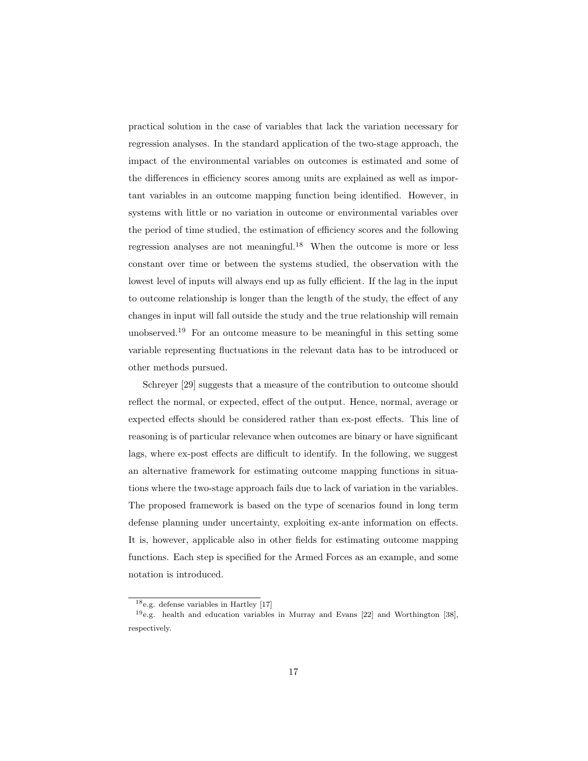practical solution in the case of variables that lack the variation necessary for regression analyses. In the standard application of the two-stage approach, the impact of the environmental variables on outcomes is estimated and some of the differences in efficiency scores among units are explained as well as important variables in an outcome mapping function being identified. However, in systems with little or no variation in outcome or environmental variables over the period of time studied, the estimation of efficiency scores and the following regression analyses are not meaningful.<sup>18</sup> When the outcome is more or less constant over time or between the systems studied, the observation with the lowest level of inputs will always end up as fully efficient. If the lag in the input to outcome relationship is longer than the length of the study, the effect of any changes in input will fall outside the study and the true relationship will remain unobserved.<sup>19</sup> For an outcome measure to be meaningful in this setting some variable representing fluctuations in the relevant data has to be introduced or other methods pursued.

Schreyer [29] suggests that a measure of the contribution to outcome should reflect the normal, or expected, effect of the output. Hence, normal, average or expected effects should be considered rather than ex-post effects. This line of reasoning is of particular relevance when outcomes are binary or have significant lags, where ex-post effects are difficult to identify. In the following, we suggest an alternative framework for estimating outcome mapping functions in situations where the two-stage approach fails due to lack of variation in the variables. The proposed framework is based on the type of scenarios found in long term defense planning under uncertainty, exploiting ex-ante information on effects. It is, however, applicable also in other fields for estimating outcome mapping functions. Each step is specified for the Armed Forces as an example, and some notation is introduced.

<sup>18</sup>e.g. defense variables in Hartley [17]

<sup>19</sup>e.g. health and education variables in Murray and Evans [22] and Worthington [38], respectively.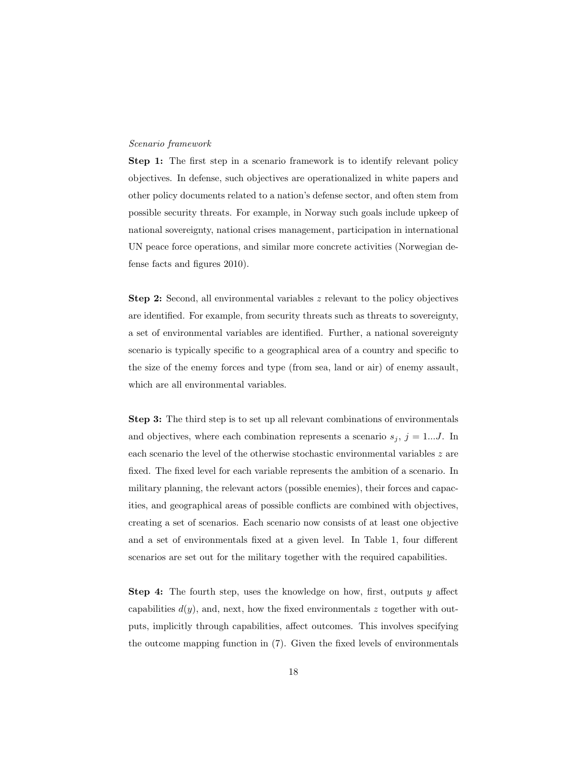#### Scenario framework

Step 1: The first step in a scenario framework is to identify relevant policy objectives. In defense, such objectives are operationalized in white papers and other policy documents related to a nation's defense sector, and often stem from possible security threats. For example, in Norway such goals include upkeep of national sovereignty, national crises management, participation in international UN peace force operations, and similar more concrete activities (Norwegian defense facts and figures 2010).

Step 2: Second, all environmental variables z relevant to the policy objectives are identified. For example, from security threats such as threats to sovereignty, a set of environmental variables are identified. Further, a national sovereignty scenario is typically specific to a geographical area of a country and specific to the size of the enemy forces and type (from sea, land or air) of enemy assault, which are all environmental variables.

Step 3: The third step is to set up all relevant combinations of environmentals and objectives, where each combination represents a scenario  $s_j$ ,  $j = 1...J$ . In each scenario the level of the otherwise stochastic environmental variables z are fixed. The fixed level for each variable represents the ambition of a scenario. In military planning, the relevant actors (possible enemies), their forces and capacities, and geographical areas of possible conflicts are combined with objectives, creating a set of scenarios. Each scenario now consists of at least one objective and a set of environmentals fixed at a given level. In Table 1, four different scenarios are set out for the military together with the required capabilities.

**Step 4:** The fourth step, uses the knowledge on how, first, outputs  $y$  affect capabilities  $d(y)$ , and, next, how the fixed environmentals z together with outputs, implicitly through capabilities, affect outcomes. This involves specifying the outcome mapping function in (7). Given the fixed levels of environmentals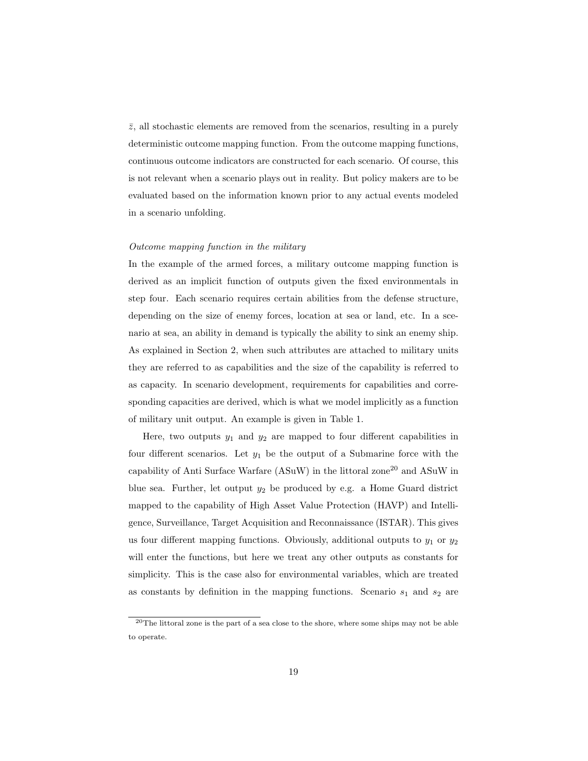$\bar{z}$ , all stochastic elements are removed from the scenarios, resulting in a purely deterministic outcome mapping function. From the outcome mapping functions, continuous outcome indicators are constructed for each scenario. Of course, this is not relevant when a scenario plays out in reality. But policy makers are to be evaluated based on the information known prior to any actual events modeled in a scenario unfolding.

#### Outcome mapping function in the military

In the example of the armed forces, a military outcome mapping function is derived as an implicit function of outputs given the fixed environmentals in step four. Each scenario requires certain abilities from the defense structure, depending on the size of enemy forces, location at sea or land, etc. In a scenario at sea, an ability in demand is typically the ability to sink an enemy ship. As explained in Section 2, when such attributes are attached to military units they are referred to as capabilities and the size of the capability is referred to as capacity. In scenario development, requirements for capabilities and corresponding capacities are derived, which is what we model implicitly as a function of military unit output. An example is given in Table 1.

Here, two outputs  $y_1$  and  $y_2$  are mapped to four different capabilities in four different scenarios. Let  $y_1$  be the output of a Submarine force with the capability of Anti Surface Warfare (ASuW) in the littoral zone<sup>20</sup> and ASuW in blue sea. Further, let output  $y_2$  be produced by e.g. a Home Guard district mapped to the capability of High Asset Value Protection (HAVP) and Intelligence, Surveillance, Target Acquisition and Reconnaissance (ISTAR). This gives us four different mapping functions. Obviously, additional outputs to  $y_1$  or  $y_2$ will enter the functions, but here we treat any other outputs as constants for simplicity. This is the case also for environmental variables, which are treated as constants by definition in the mapping functions. Scenario  $s_1$  and  $s_2$  are

 $20$ The littoral zone is the part of a sea close to the shore, where some ships may not be able to operate.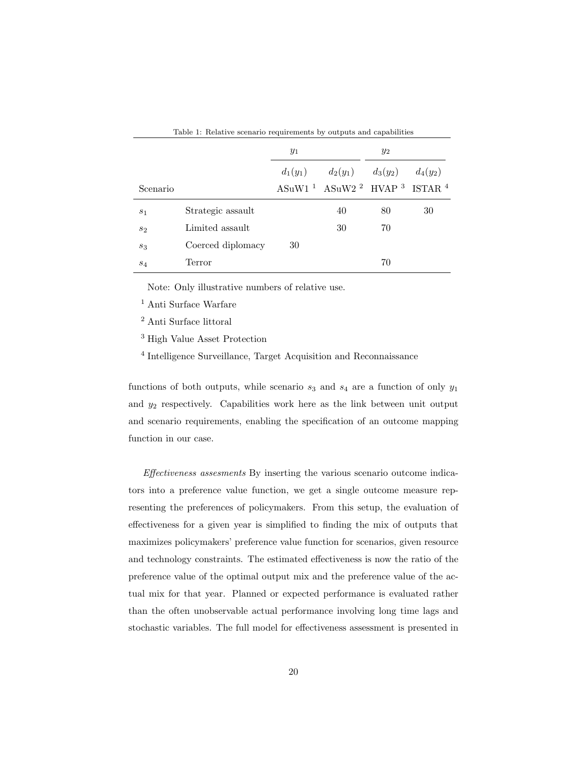| Table 1: Relative scenario requirements by outputs and capabilities |                   |       |                                                                                                                |       |            |  |  |  |
|---------------------------------------------------------------------|-------------------|-------|----------------------------------------------------------------------------------------------------------------|-------|------------|--|--|--|
|                                                                     |                   | $y_1$ |                                                                                                                | $y_2$ |            |  |  |  |
| Scenario                                                            |                   |       | $d_1(y_1)$ $d_2(y_1)$ $d_3(y_2)$<br>ASuW1 <sup>1</sup> ASuW2 <sup>2</sup> HVAP <sup>3</sup> ISTAR <sup>4</sup> |       | $d_4(y_2)$ |  |  |  |
|                                                                     |                   |       |                                                                                                                |       |            |  |  |  |
| s <sub>1</sub>                                                      | Strategic assault |       | 40                                                                                                             | 80    | 30         |  |  |  |
| $s_2$                                                               | Limited assault   |       | 30                                                                                                             | 70    |            |  |  |  |
| $s_3$                                                               | Coerced diplomacy | 30    |                                                                                                                |       |            |  |  |  |
| $s_4$                                                               | Terror            |       |                                                                                                                | 70    |            |  |  |  |

Note: Only illustrative numbers of relative use.

<sup>1</sup> Anti Surface Warfare

<sup>2</sup> Anti Surface littoral

<sup>3</sup> High Value Asset Protection

4 Intelligence Surveillance, Target Acquisition and Reconnaissance

functions of both outputs, while scenario  $s_3$  and  $s_4$  are a function of only  $y_1$ and  $y_2$  respectively. Capabilities work here as the link between unit output and scenario requirements, enabling the specification of an outcome mapping function in our case.

Effectiveness assesments By inserting the various scenario outcome indicators into a preference value function, we get a single outcome measure representing the preferences of policymakers. From this setup, the evaluation of effectiveness for a given year is simplified to finding the mix of outputs that maximizes policymakers' preference value function for scenarios, given resource and technology constraints. The estimated effectiveness is now the ratio of the preference value of the optimal output mix and the preference value of the actual mix for that year. Planned or expected performance is evaluated rather than the often unobservable actual performance involving long time lags and stochastic variables. The full model for effectiveness assessment is presented in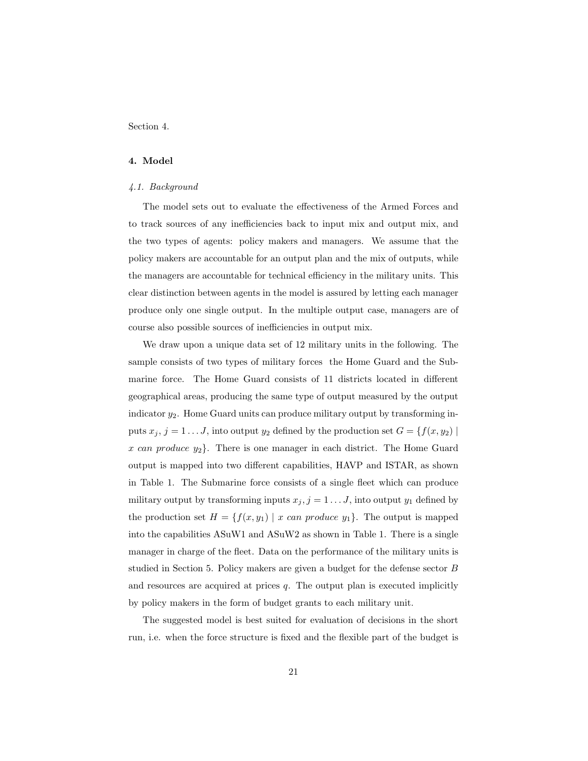### Section 4.

### 4. Model

#### 4.1. Background

The model sets out to evaluate the effectiveness of the Armed Forces and to track sources of any inefficiencies back to input mix and output mix, and the two types of agents: policy makers and managers. We assume that the policy makers are accountable for an output plan and the mix of outputs, while the managers are accountable for technical efficiency in the military units. This clear distinction between agents in the model is assured by letting each manager produce only one single output. In the multiple output case, managers are of course also possible sources of inefficiencies in output mix.

We draw upon a unique data set of 12 military units in the following. The sample consists of two types of military forces the Home Guard and the Submarine force. The Home Guard consists of 11 districts located in different geographical areas, producing the same type of output measured by the output indicator  $y_2$ . Home Guard units can produce military output by transforming inputs  $x_j$ ,  $j = 1 \ldots J$ , into output  $y_2$  defined by the production set  $G = \{f(x, y_2) \mid$ x can produce  $y_2$ . There is one manager in each district. The Home Guard output is mapped into two different capabilities, HAVP and ISTAR, as shown in Table 1. The Submarine force consists of a single fleet which can produce military output by transforming inputs  $x_j$ ,  $j = 1 \ldots J$ , into output  $y_1$  defined by the production set  $H = \{f(x, y_1) \mid x \text{ can produce } y_1\}.$  The output is mapped into the capabilities ASuW1 and ASuW2 as shown in Table 1. There is a single manager in charge of the fleet. Data on the performance of the military units is studied in Section 5. Policy makers are given a budget for the defense sector B and resources are acquired at prices  $q$ . The output plan is executed implicitly by policy makers in the form of budget grants to each military unit.

The suggested model is best suited for evaluation of decisions in the short run, i.e. when the force structure is fixed and the flexible part of the budget is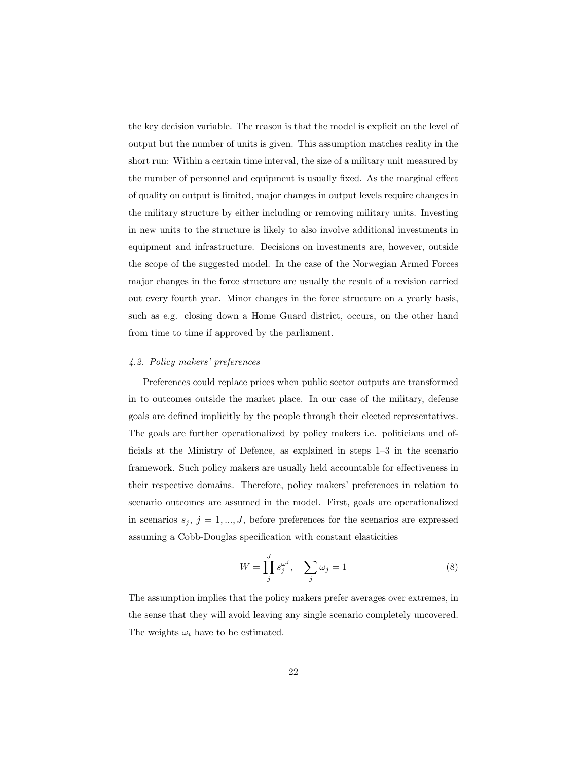the key decision variable. The reason is that the model is explicit on the level of output but the number of units is given. This assumption matches reality in the short run: Within a certain time interval, the size of a military unit measured by the number of personnel and equipment is usually fixed. As the marginal effect of quality on output is limited, major changes in output levels require changes in the military structure by either including or removing military units. Investing in new units to the structure is likely to also involve additional investments in equipment and infrastructure. Decisions on investments are, however, outside the scope of the suggested model. In the case of the Norwegian Armed Forces major changes in the force structure are usually the result of a revision carried out every fourth year. Minor changes in the force structure on a yearly basis, such as e.g. closing down a Home Guard district, occurs, on the other hand from time to time if approved by the parliament.

#### 4.2. Policy makers' preferences

Preferences could replace prices when public sector outputs are transformed in to outcomes outside the market place. In our case of the military, defense goals are defined implicitly by the people through their elected representatives. The goals are further operationalized by policy makers i.e. politicians and officials at the Ministry of Defence, as explained in steps 1–3 in the scenario framework. Such policy makers are usually held accountable for effectiveness in their respective domains. Therefore, policy makers' preferences in relation to scenario outcomes are assumed in the model. First, goals are operationalized in scenarios  $s_i$ ,  $j = 1, ..., J$ , before preferences for the scenarios are expressed assuming a Cobb-Douglas specification with constant elasticities

$$
W = \prod_{j}^{J} s_j^{\omega^j}, \quad \sum_j \omega_j = 1 \tag{8}
$$

The assumption implies that the policy makers prefer averages over extremes, in the sense that they will avoid leaving any single scenario completely uncovered. The weights  $\omega_i$  have to be estimated.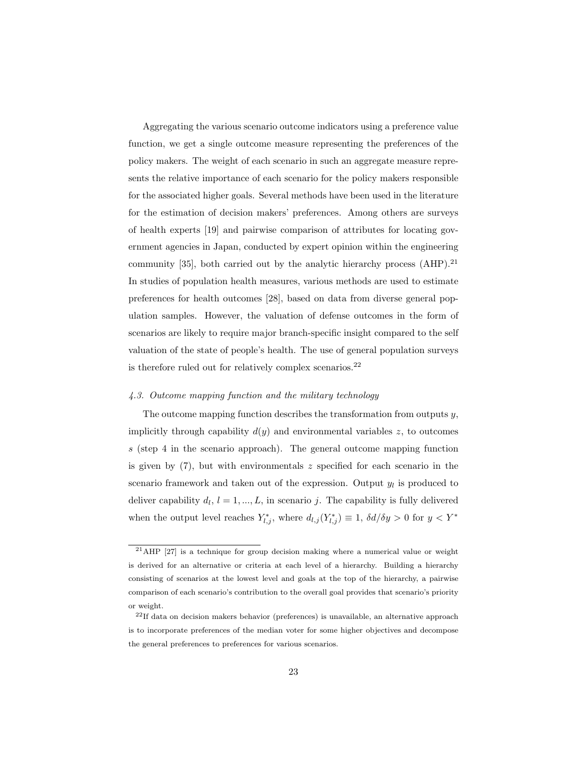Aggregating the various scenario outcome indicators using a preference value function, we get a single outcome measure representing the preferences of the policy makers. The weight of each scenario in such an aggregate measure represents the relative importance of each scenario for the policy makers responsible for the associated higher goals. Several methods have been used in the literature for the estimation of decision makers' preferences. Among others are surveys of health experts [19] and pairwise comparison of attributes for locating government agencies in Japan, conducted by expert opinion within the engineering community [35], both carried out by the analytic hierarchy process  $(AHP)$ <sup>21</sup> In studies of population health measures, various methods are used to estimate preferences for health outcomes [28], based on data from diverse general population samples. However, the valuation of defense outcomes in the form of scenarios are likely to require major branch-specific insight compared to the self valuation of the state of people's health. The use of general population surveys is therefore ruled out for relatively complex scenarios.<sup>22</sup>

#### 4.3. Outcome mapping function and the military technology

The outcome mapping function describes the transformation from outputs  $y$ , implicitly through capability  $d(y)$  and environmental variables z, to outcomes s (step 4 in the scenario approach). The general outcome mapping function is given by  $(7)$ , but with environmentals z specified for each scenario in the scenario framework and taken out of the expression. Output  $y_l$  is produced to deliver capability  $d_l$ ,  $l = 1, ..., L$ , in scenario j. The capability is fully delivered when the output level reaches  $Y_{l,j}^*$ , where  $d_{l,j}(Y_{l,j}^*) \equiv 1$ ,  $\delta d/\delta y > 0$  for  $y < Y^*$ 

<sup>21</sup>AHP [27] is a technique for group decision making where a numerical value or weight is derived for an alternative or criteria at each level of a hierarchy. Building a hierarchy consisting of scenarios at the lowest level and goals at the top of the hierarchy, a pairwise comparison of each scenario's contribution to the overall goal provides that scenario's priority or weight.

<sup>22</sup>If data on decision makers behavior (preferences) is unavailable, an alternative approach is to incorporate preferences of the median voter for some higher objectives and decompose the general preferences to preferences for various scenarios.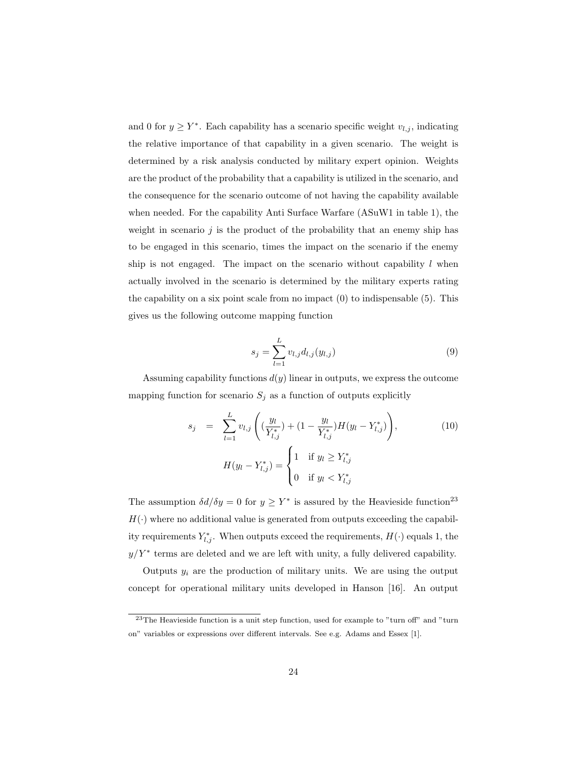and 0 for  $y \geq Y^*$ . Each capability has a scenario specific weight  $v_{l,j}$ , indicating the relative importance of that capability in a given scenario. The weight is determined by a risk analysis conducted by military expert opinion. Weights are the product of the probability that a capability is utilized in the scenario, and the consequence for the scenario outcome of not having the capability available when needed. For the capability Anti Surface Warfare (ASuW1 in table 1), the weight in scenario  $j$  is the product of the probability that an enemy ship has to be engaged in this scenario, times the impact on the scenario if the enemy ship is not engaged. The impact on the scenario without capability  $l$  when actually involved in the scenario is determined by the military experts rating the capability on a six point scale from no impact  $(0)$  to indispensable  $(5)$ . This gives us the following outcome mapping function

$$
s_j = \sum_{l=1}^{L} v_{l,j} d_{l,j}(y_{l,j})
$$
\n(9)

Assuming capability functions  $d(y)$  linear in outputs, we express the outcome mapping function for scenario  $S_j$  as a function of outputs explicitly

$$
s_j = \sum_{l=1}^{L} v_{l,j} \left( \left( \frac{y_l}{Y_{l,j}^*} \right) + (1 - \frac{y_l}{Y_{l,j}^*}) H(y_l - Y_{l,j}^*) \right),
$$
  
\n
$$
H(y_l - Y_{l,j}^*) = \begin{cases} 1 & \text{if } y_l \ge Y_{l,j}^* \\ 0 & \text{if } y_l < Y_{l,j}^* \end{cases}
$$
\n
$$
(10)
$$

The assumption  $\delta d/\delta y = 0$  for  $y \geq Y^*$  is assured by the Heavieside function<sup>23</sup>  $H(\cdot)$  where no additional value is generated from outputs exceeding the capability requirements  $Y_{l,j}^*$ . When outputs exceed the requirements,  $H(\cdot)$  equals 1, the  $y/Y^*$  terms are deleted and we are left with unity, a fully delivered capability.

Outputs  $y_i$  are the production of military units. We are using the output concept for operational military units developed in Hanson [16]. An output

 $23$ The Heavieside function is a unit step function, used for example to "turn off" and "turn on" variables or expressions over different intervals. See e.g. Adams and Essex [1].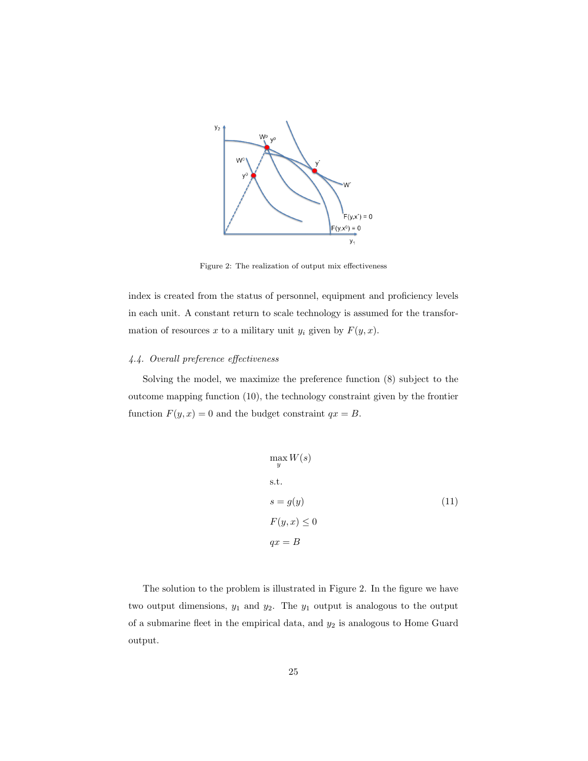

Figure 2: The realization of output mix effectiveness

index is created from the status of personnel, equipment and proficiency levels in each unit. A constant return to scale technology is assumed for the transformation of resources x to a military unit  $y_i$  given by  $F(y, x)$ .

## 4.4. Overall preference effectiveness

Solving the model, we maximize the preference function (8) subject to the outcome mapping function (10), the technology constraint given by the frontier function  $F(y, x) = 0$  and the budget constraint  $qx = B$ .

$$
\max_{y} W(s)
$$
  
s.t.  

$$
s = g(y)
$$

$$
F(y, x) \le 0
$$

$$
qx = B
$$
 (11)

The solution to the problem is illustrated in Figure 2. In the figure we have two output dimensions,  $y_1$  and  $y_2$ . The  $y_1$  output is analogous to the output of a submarine fleet in the empirical data, and  $y_2$  is analogous to Home Guard output.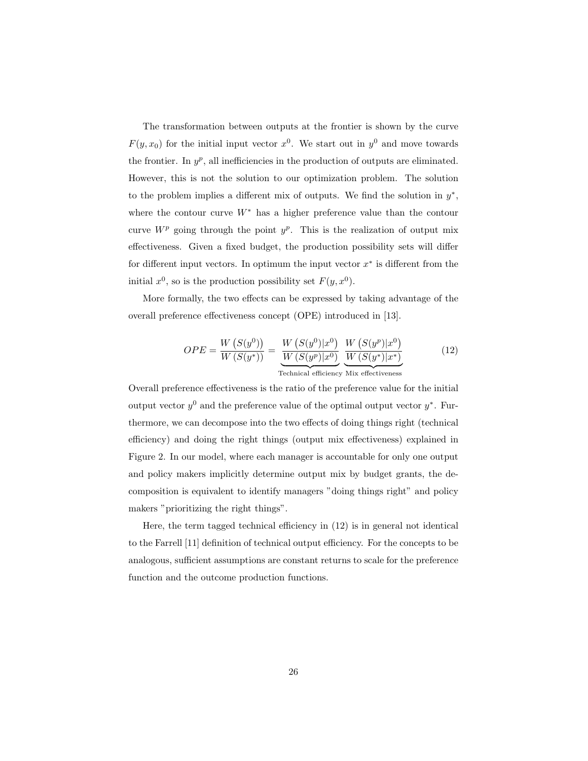The transformation between outputs at the frontier is shown by the curve  $F(y, x_0)$  for the initial input vector  $x^0$ . We start out in  $y^0$  and move towards the frontier. In  $y^p$ , all inefficiencies in the production of outputs are eliminated. However, this is not the solution to our optimization problem. The solution to the problem implies a different mix of outputs. We find the solution in  $y^*$ , where the contour curve  $W^*$  has a higher preference value than the contour curve  $W^p$  going through the point  $y^p$ . This is the realization of output mix effectiveness. Given a fixed budget, the production possibility sets will differ for different input vectors. In optimum the input vector  $x^*$  is different from the initial  $x^0$ , so is the production possibility set  $F(y, x^0)$ .

More formally, the two effects can be expressed by taking advantage of the overall preference effectiveness concept (OPE) introduced in [13].

$$
OPE = \frac{W(S(y^{0}))}{W(S(y^{*}))} = \underbrace{\frac{W(S(y^{0})|x^{0})}{W(S(y^{p})|x^{0})}}_{\text{Technical efficiency Mix effectiveness}} \frac{W(S(y^{p})|x^{0})}{W(S(y^{*})|x^{*})}
$$
(12)

Overall preference effectiveness is the ratio of the preference value for the initial output vector  $y^0$  and the preference value of the optimal output vector  $y^*$ . Furthermore, we can decompose into the two effects of doing things right (technical efficiency) and doing the right things (output mix effectiveness) explained in Figure 2. In our model, where each manager is accountable for only one output and policy makers implicitly determine output mix by budget grants, the decomposition is equivalent to identify managers "doing things right" and policy makers "prioritizing the right things".

Here, the term tagged technical efficiency in (12) is in general not identical to the Farrell [11] definition of technical output efficiency. For the concepts to be analogous, sufficient assumptions are constant returns to scale for the preference function and the outcome production functions.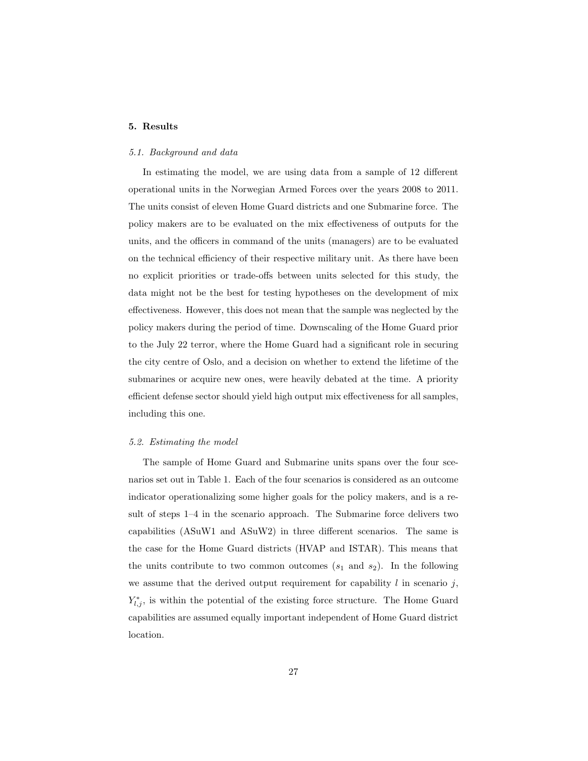### 5. Results

### 5.1. Background and data

In estimating the model, we are using data from a sample of 12 different operational units in the Norwegian Armed Forces over the years 2008 to 2011. The units consist of eleven Home Guard districts and one Submarine force. The policy makers are to be evaluated on the mix effectiveness of outputs for the units, and the officers in command of the units (managers) are to be evaluated on the technical efficiency of their respective military unit. As there have been no explicit priorities or trade-offs between units selected for this study, the data might not be the best for testing hypotheses on the development of mix effectiveness. However, this does not mean that the sample was neglected by the policy makers during the period of time. Downscaling of the Home Guard prior to the July 22 terror, where the Home Guard had a significant role in securing the city centre of Oslo, and a decision on whether to extend the lifetime of the submarines or acquire new ones, were heavily debated at the time. A priority efficient defense sector should yield high output mix effectiveness for all samples, including this one.

#### 5.2. Estimating the model

The sample of Home Guard and Submarine units spans over the four scenarios set out in Table 1. Each of the four scenarios is considered as an outcome indicator operationalizing some higher goals for the policy makers, and is a result of steps 1–4 in the scenario approach. The Submarine force delivers two capabilities (ASuW1 and ASuW2) in three different scenarios. The same is the case for the Home Guard districts (HVAP and ISTAR). This means that the units contribute to two common outcomes  $(s_1 \text{ and } s_2)$ . In the following we assume that the derived output requirement for capability  $l$  in scenario  $j$ ,  $Y_{l,j}^*$ , is within the potential of the existing force structure. The Home Guard capabilities are assumed equally important independent of Home Guard district location.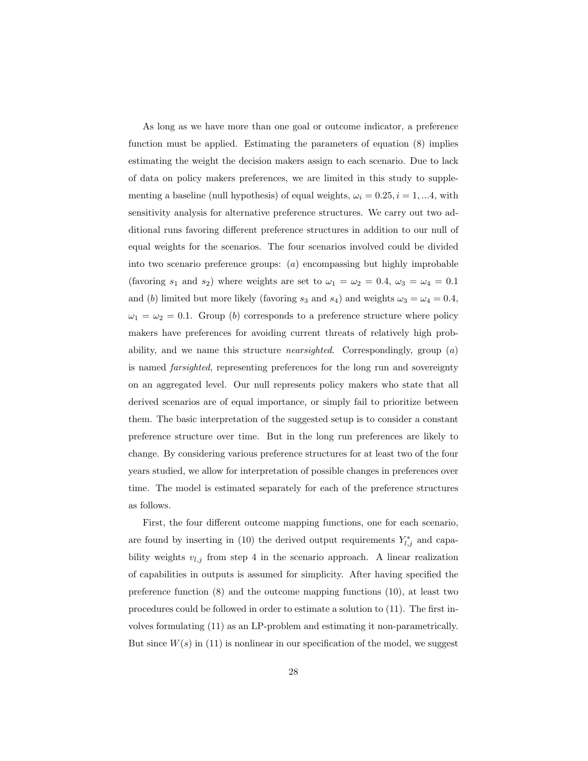As long as we have more than one goal or outcome indicator, a preference function must be applied. Estimating the parameters of equation (8) implies estimating the weight the decision makers assign to each scenario. Due to lack of data on policy makers preferences, we are limited in this study to supplementing a baseline (null hypothesis) of equal weights,  $\omega_i = 0.25, i = 1, ...4$ , with sensitivity analysis for alternative preference structures. We carry out two additional runs favoring different preference structures in addition to our null of equal weights for the scenarios. The four scenarios involved could be divided into two scenario preference groups: (a) encompassing but highly improbable (favoring  $s_1$  and  $s_2$ ) where weights are set to  $\omega_1 = \omega_2 = 0.4$ ,  $\omega_3 = \omega_4 = 0.1$ and (b) limited but more likely (favoring  $s_3$  and  $s_4$ ) and weights  $\omega_3 = \omega_4 = 0.4$ ,  $\omega_1 = \omega_2 = 0.1$ . Group (b) corresponds to a preference structure where policy makers have preferences for avoiding current threats of relatively high probability, and we name this structure *nearsighted*. Correspondingly, group  $(a)$ is named farsighted, representing preferences for the long run and sovereignty on an aggregated level. Our null represents policy makers who state that all derived scenarios are of equal importance, or simply fail to prioritize between them. The basic interpretation of the suggested setup is to consider a constant preference structure over time. But in the long run preferences are likely to change. By considering various preference structures for at least two of the four years studied, we allow for interpretation of possible changes in preferences over time. The model is estimated separately for each of the preference structures as follows.

First, the four different outcome mapping functions, one for each scenario, are found by inserting in (10) the derived output requirements  $Y_{l,j}^*$  and capability weights  $v_{l,j}$  from step 4 in the scenario approach. A linear realization of capabilities in outputs is assumed for simplicity. After having specified the preference function (8) and the outcome mapping functions (10), at least two procedures could be followed in order to estimate a solution to (11). The first involves formulating (11) as an LP-problem and estimating it non-parametrically. But since  $W(s)$  in (11) is nonlinear in our specification of the model, we suggest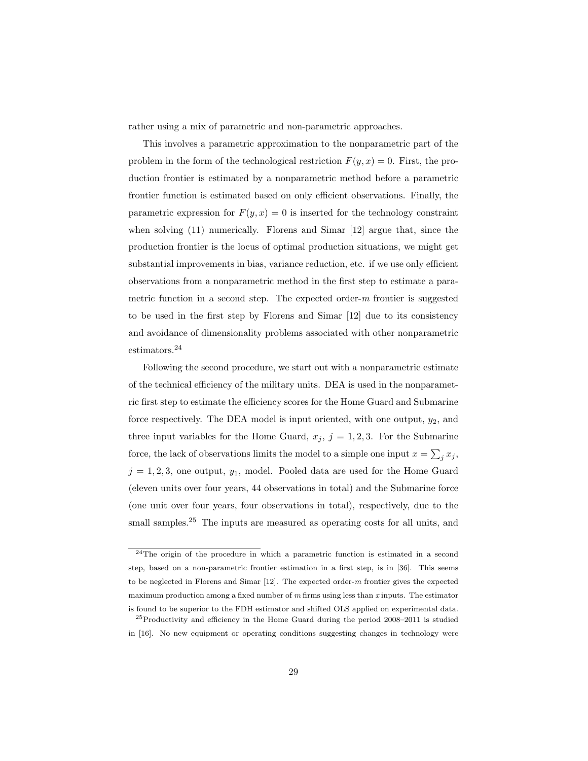rather using a mix of parametric and non-parametric approaches.

This involves a parametric approximation to the nonparametric part of the problem in the form of the technological restriction  $F(y, x) = 0$ . First, the production frontier is estimated by a nonparametric method before a parametric frontier function is estimated based on only efficient observations. Finally, the parametric expression for  $F(y, x) = 0$  is inserted for the technology constraint when solving (11) numerically. Florens and Simar [12] argue that, since the production frontier is the locus of optimal production situations, we might get substantial improvements in bias, variance reduction, etc. if we use only efficient observations from a nonparametric method in the first step to estimate a parametric function in a second step. The expected order- $m$  frontier is suggested to be used in the first step by Florens and Simar [12] due to its consistency and avoidance of dimensionality problems associated with other nonparametric estimators.<sup>24</sup>

Following the second procedure, we start out with a nonparametric estimate of the technical efficiency of the military units. DEA is used in the nonparametric first step to estimate the efficiency scores for the Home Guard and Submarine force respectively. The DEA model is input oriented, with one output,  $y_2$ , and three input variables for the Home Guard,  $x_j$ ,  $j = 1, 2, 3$ . For the Submarine force, the lack of observations limits the model to a simple one input  $x = \sum_j x_j$ ,  $j = 1, 2, 3$ , one output,  $y_1$ , model. Pooled data are used for the Home Guard (eleven units over four years, 44 observations in total) and the Submarine force (one unit over four years, four observations in total), respectively, due to the small samples.<sup>25</sup> The inputs are measured as operating costs for all units, and

<sup>24</sup>The origin of the procedure in which a parametric function is estimated in a second step, based on a non-parametric frontier estimation in a first step, is in [36]. This seems to be neglected in Florens and Simar  $[12]$ . The expected order- $m$  frontier gives the expected maximum production among a fixed number of  $m$  firms using less than  $x$  inputs. The estimator is found to be superior to the FDH estimator and shifted OLS applied on experimental data.

<sup>&</sup>lt;sup>25</sup> Productivity and efficiency in the Home Guard during the period 2008–2011 is studied in [16]. No new equipment or operating conditions suggesting changes in technology were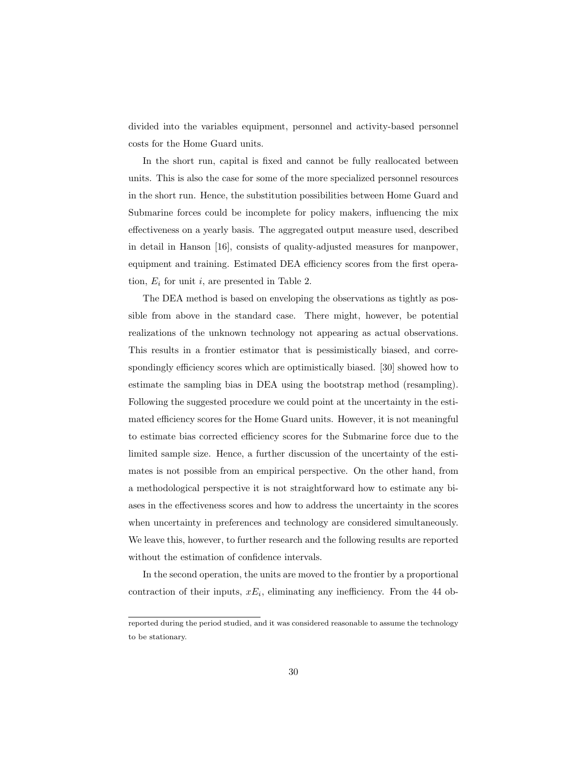divided into the variables equipment, personnel and activity-based personnel costs for the Home Guard units.

In the short run, capital is fixed and cannot be fully reallocated between units. This is also the case for some of the more specialized personnel resources in the short run. Hence, the substitution possibilities between Home Guard and Submarine forces could be incomplete for policy makers, influencing the mix effectiveness on a yearly basis. The aggregated output measure used, described in detail in Hanson [16], consists of quality-adjusted measures for manpower, equipment and training. Estimated DEA efficiency scores from the first operation,  $E_i$  for unit i, are presented in Table 2.

The DEA method is based on enveloping the observations as tightly as possible from above in the standard case. There might, however, be potential realizations of the unknown technology not appearing as actual observations. This results in a frontier estimator that is pessimistically biased, and correspondingly efficiency scores which are optimistically biased. [30] showed how to estimate the sampling bias in DEA using the bootstrap method (resampling). Following the suggested procedure we could point at the uncertainty in the estimated efficiency scores for the Home Guard units. However, it is not meaningful to estimate bias corrected efficiency scores for the Submarine force due to the limited sample size. Hence, a further discussion of the uncertainty of the estimates is not possible from an empirical perspective. On the other hand, from a methodological perspective it is not straightforward how to estimate any biases in the effectiveness scores and how to address the uncertainty in the scores when uncertainty in preferences and technology are considered simultaneously. We leave this, however, to further research and the following results are reported without the estimation of confidence intervals.

In the second operation, the units are moved to the frontier by a proportional contraction of their inputs,  $xE_i$ , eliminating any inefficiency. From the 44 ob-

reported during the period studied, and it was considered reasonable to assume the technology to be stationary.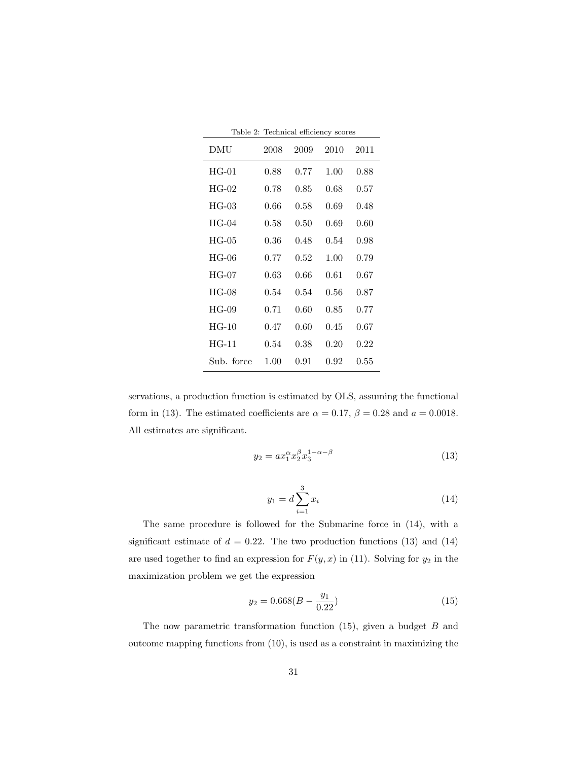|            | Table 2: Technical efficiency scores |      |      |      |  |  |
|------------|--------------------------------------|------|------|------|--|--|
| DMU        | 2008                                 | 2009 | 2010 | 2011 |  |  |
| $HG-01$    | 0.88                                 | 0.77 | 1.00 | 0.88 |  |  |
| $HG-02$    | 0.78                                 | 0.85 | 0.68 | 0.57 |  |  |
| $HG-0.3$   | 0.66                                 | 0.58 | 0.69 | 0.48 |  |  |
| $HG-04$    | 0.58                                 | 0.50 | 0.69 | 0.60 |  |  |
| $HG-05$    | 0.36                                 | 0.48 | 0.54 | 0.98 |  |  |
| $HG-06$    | 0.77                                 | 0.52 | 1.00 | 0.79 |  |  |
| $HG-07$    | 0.63                                 | 0.66 | 0.61 | 0.67 |  |  |
| $HG-08$    | 0.54                                 | 0.54 | 0.56 | 0.87 |  |  |
| $HG-0.9$   | 0.71                                 | 0.60 | 0.85 | 0.77 |  |  |
| $HG-10$    | 0.47                                 | 0.60 | 0.45 | 0.67 |  |  |
| $HG-11$    | 0.54                                 | 0.38 | 0.20 | 0.22 |  |  |
| Sub. force | 1.00                                 | 0.91 | 0.92 | 0.55 |  |  |
|            |                                      |      |      |      |  |  |

rable 2: Technical effici

servations, a production function is estimated by OLS, assuming the functional form in (13). The estimated coefficients are  $\alpha = 0.17$ ,  $\beta = 0.28$  and  $a = 0.0018$ . All estimates are significant.

$$
y_2 = a x_1^{\alpha} x_2^{\beta} x_3^{1-\alpha-\beta}
$$
 (13)

$$
y_1 = d \sum_{i=1}^{3} x_i
$$
 (14)

The same procedure is followed for the Submarine force in (14), with a significant estimate of  $d = 0.22$ . The two production functions (13) and (14) are used together to find an expression for  $F(y, x)$  in (11). Solving for  $y_2$  in the maximization problem we get the expression

$$
y_2 = 0.668(B - \frac{y_1}{0.22})
$$
\n(15)

The now parametric transformation function  $(15)$ , given a budget B and outcome mapping functions from (10), is used as a constraint in maximizing the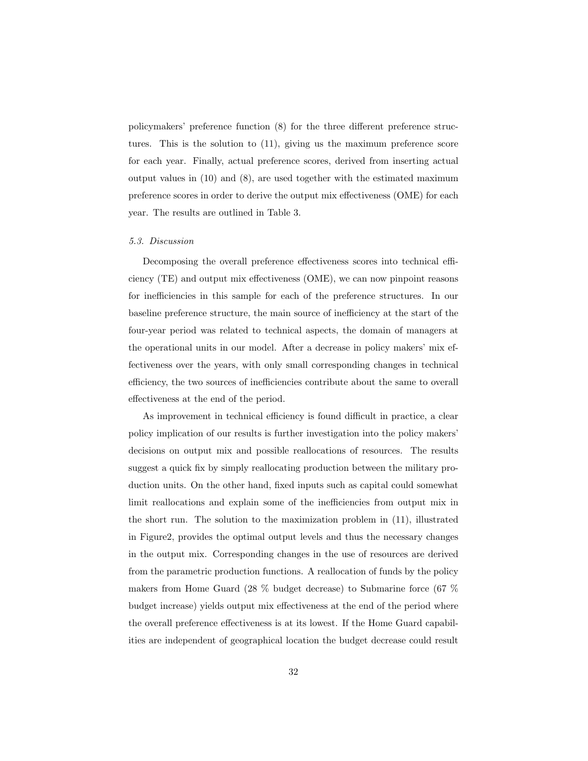policymakers' preference function (8) for the three different preference structures. This is the solution to (11), giving us the maximum preference score for each year. Finally, actual preference scores, derived from inserting actual output values in (10) and (8), are used together with the estimated maximum preference scores in order to derive the output mix effectiveness (OME) for each year. The results are outlined in Table 3.

#### 5.3. Discussion

Decomposing the overall preference effectiveness scores into technical efficiency (TE) and output mix effectiveness (OME), we can now pinpoint reasons for inefficiencies in this sample for each of the preference structures. In our baseline preference structure, the main source of inefficiency at the start of the four-year period was related to technical aspects, the domain of managers at the operational units in our model. After a decrease in policy makers' mix effectiveness over the years, with only small corresponding changes in technical efficiency, the two sources of inefficiencies contribute about the same to overall effectiveness at the end of the period.

As improvement in technical efficiency is found difficult in practice, a clear policy implication of our results is further investigation into the policy makers' decisions on output mix and possible reallocations of resources. The results suggest a quick fix by simply reallocating production between the military production units. On the other hand, fixed inputs such as capital could somewhat limit reallocations and explain some of the inefficiencies from output mix in the short run. The solution to the maximization problem in (11), illustrated in Figure2, provides the optimal output levels and thus the necessary changes in the output mix. Corresponding changes in the use of resources are derived from the parametric production functions. A reallocation of funds by the policy makers from Home Guard (28 % budget decrease) to Submarine force (67 % budget increase) yields output mix effectiveness at the end of the period where the overall preference effectiveness is at its lowest. If the Home Guard capabilities are independent of geographical location the budget decrease could result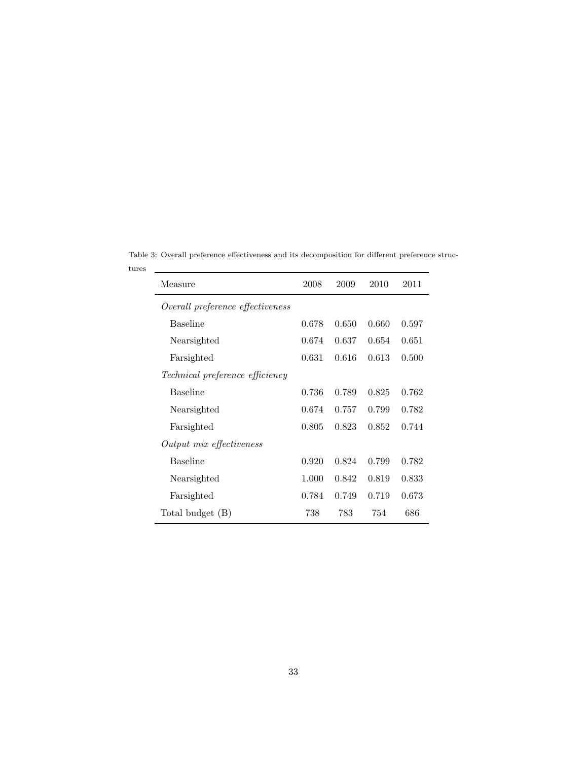|       |  |  | Table 3: Overall preference effectiveness and its decomposition for different preference struc- |  |  |
|-------|--|--|-------------------------------------------------------------------------------------------------|--|--|
| tures |  |  |                                                                                                 |  |  |

| Measure                                | 2008  | 2009  | 2010  | 2011  |
|----------------------------------------|-------|-------|-------|-------|
| Overall preference effectiveness       |       |       |       |       |
| <b>Baseline</b>                        | 0.678 | 0.650 | 0.660 | 0.597 |
| Nearsighted                            | 0.674 | 0.637 | 0.654 | 0.651 |
| Farsighted                             | 0.631 | 0.616 | 0.613 | 0.500 |
| <i>Technical preference efficiency</i> |       |       |       |       |
| <b>Baseline</b>                        | 0.736 | 0.789 | 0.825 | 0.762 |
| Nearsighted                            | 0.674 | 0.757 | 0.799 | 0.782 |
| Farsighted                             | 0.805 | 0.823 | 0.852 | 0.744 |
| Output mix effectiveness               |       |       |       |       |
| <b>Baseline</b>                        | 0.920 | 0.824 | 0.799 | 0.782 |
| Nearsighted                            | 1.000 | 0.842 | 0.819 | 0.833 |
| Farsighted                             | 0.784 | 0.749 | 0.719 | 0.673 |
| Total budget (B)                       | 738   | 783   | 754   | 686   |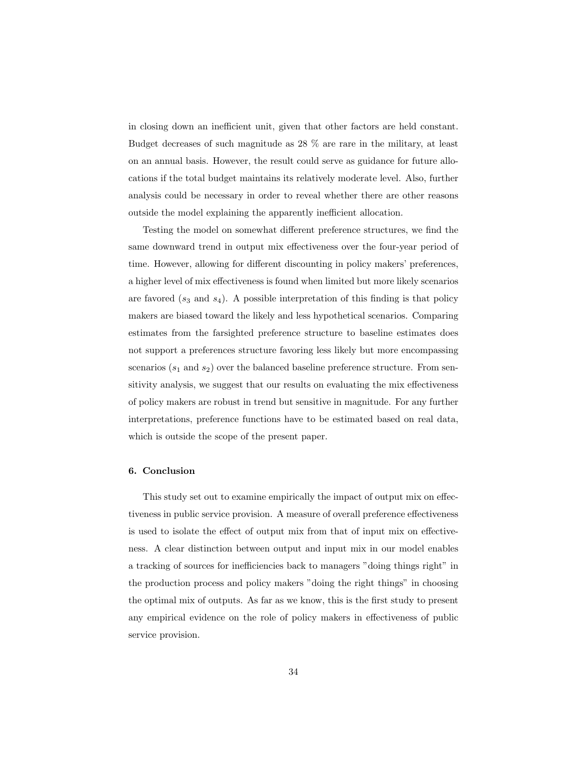in closing down an inefficient unit, given that other factors are held constant. Budget decreases of such magnitude as 28 % are rare in the military, at least on an annual basis. However, the result could serve as guidance for future allocations if the total budget maintains its relatively moderate level. Also, further analysis could be necessary in order to reveal whether there are other reasons outside the model explaining the apparently inefficient allocation.

Testing the model on somewhat different preference structures, we find the same downward trend in output mix effectiveness over the four-year period of time. However, allowing for different discounting in policy makers' preferences, a higher level of mix effectiveness is found when limited but more likely scenarios are favored  $(s_3 \text{ and } s_4)$ . A possible interpretation of this finding is that policy makers are biased toward the likely and less hypothetical scenarios. Comparing estimates from the farsighted preference structure to baseline estimates does not support a preferences structure favoring less likely but more encompassing scenarios  $(s_1 \text{ and } s_2)$  over the balanced baseline preference structure. From sensitivity analysis, we suggest that our results on evaluating the mix effectiveness of policy makers are robust in trend but sensitive in magnitude. For any further interpretations, preference functions have to be estimated based on real data, which is outside the scope of the present paper.

### 6. Conclusion

This study set out to examine empirically the impact of output mix on effectiveness in public service provision. A measure of overall preference effectiveness is used to isolate the effect of output mix from that of input mix on effectiveness. A clear distinction between output and input mix in our model enables a tracking of sources for inefficiencies back to managers "doing things right" in the production process and policy makers "doing the right things" in choosing the optimal mix of outputs. As far as we know, this is the first study to present any empirical evidence on the role of policy makers in effectiveness of public service provision.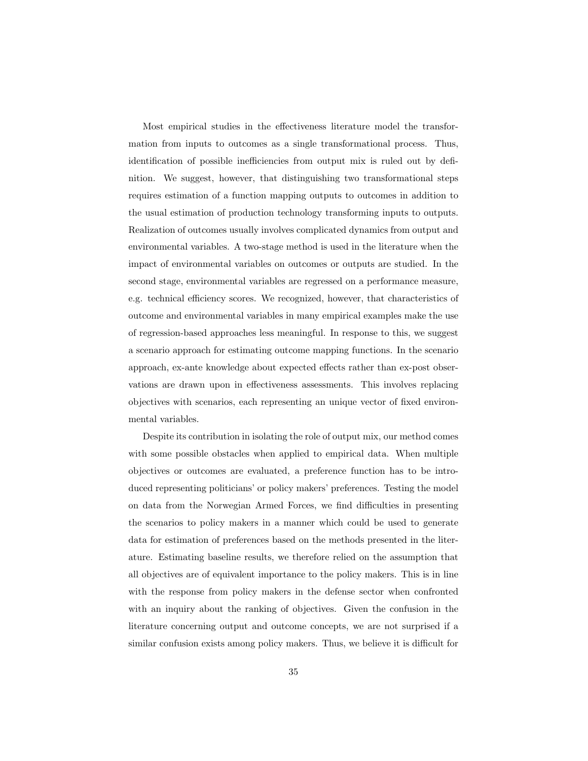Most empirical studies in the effectiveness literature model the transformation from inputs to outcomes as a single transformational process. Thus, identification of possible inefficiencies from output mix is ruled out by definition. We suggest, however, that distinguishing two transformational steps requires estimation of a function mapping outputs to outcomes in addition to the usual estimation of production technology transforming inputs to outputs. Realization of outcomes usually involves complicated dynamics from output and environmental variables. A two-stage method is used in the literature when the impact of environmental variables on outcomes or outputs are studied. In the second stage, environmental variables are regressed on a performance measure, e.g. technical efficiency scores. We recognized, however, that characteristics of outcome and environmental variables in many empirical examples make the use of regression-based approaches less meaningful. In response to this, we suggest a scenario approach for estimating outcome mapping functions. In the scenario approach, ex-ante knowledge about expected effects rather than ex-post observations are drawn upon in effectiveness assessments. This involves replacing objectives with scenarios, each representing an unique vector of fixed environmental variables.

Despite its contribution in isolating the role of output mix, our method comes with some possible obstacles when applied to empirical data. When multiple objectives or outcomes are evaluated, a preference function has to be introduced representing politicians' or policy makers' preferences. Testing the model on data from the Norwegian Armed Forces, we find difficulties in presenting the scenarios to policy makers in a manner which could be used to generate data for estimation of preferences based on the methods presented in the literature. Estimating baseline results, we therefore relied on the assumption that all objectives are of equivalent importance to the policy makers. This is in line with the response from policy makers in the defense sector when confronted with an inquiry about the ranking of objectives. Given the confusion in the literature concerning output and outcome concepts, we are not surprised if a similar confusion exists among policy makers. Thus, we believe it is difficult for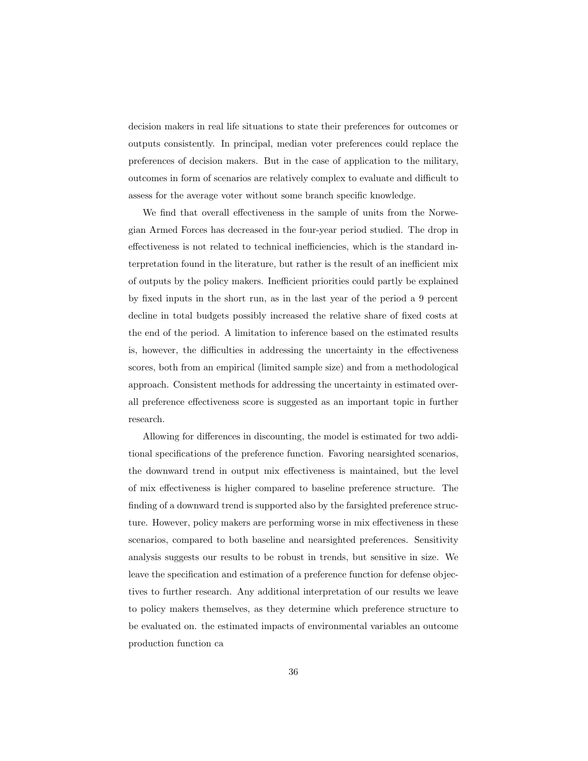decision makers in real life situations to state their preferences for outcomes or outputs consistently. In principal, median voter preferences could replace the preferences of decision makers. But in the case of application to the military, outcomes in form of scenarios are relatively complex to evaluate and difficult to assess for the average voter without some branch specific knowledge.

We find that overall effectiveness in the sample of units from the Norwegian Armed Forces has decreased in the four-year period studied. The drop in effectiveness is not related to technical inefficiencies, which is the standard interpretation found in the literature, but rather is the result of an inefficient mix of outputs by the policy makers. Inefficient priorities could partly be explained by fixed inputs in the short run, as in the last year of the period a 9 percent decline in total budgets possibly increased the relative share of fixed costs at the end of the period. A limitation to inference based on the estimated results is, however, the difficulties in addressing the uncertainty in the effectiveness scores, both from an empirical (limited sample size) and from a methodological approach. Consistent methods for addressing the uncertainty in estimated overall preference effectiveness score is suggested as an important topic in further research.

Allowing for differences in discounting, the model is estimated for two additional specifications of the preference function. Favoring nearsighted scenarios, the downward trend in output mix effectiveness is maintained, but the level of mix effectiveness is higher compared to baseline preference structure. The finding of a downward trend is supported also by the farsighted preference structure. However, policy makers are performing worse in mix effectiveness in these scenarios, compared to both baseline and nearsighted preferences. Sensitivity analysis suggests our results to be robust in trends, but sensitive in size. We leave the specification and estimation of a preference function for defense objectives to further research. Any additional interpretation of our results we leave to policy makers themselves, as they determine which preference structure to be evaluated on. the estimated impacts of environmental variables an outcome production function ca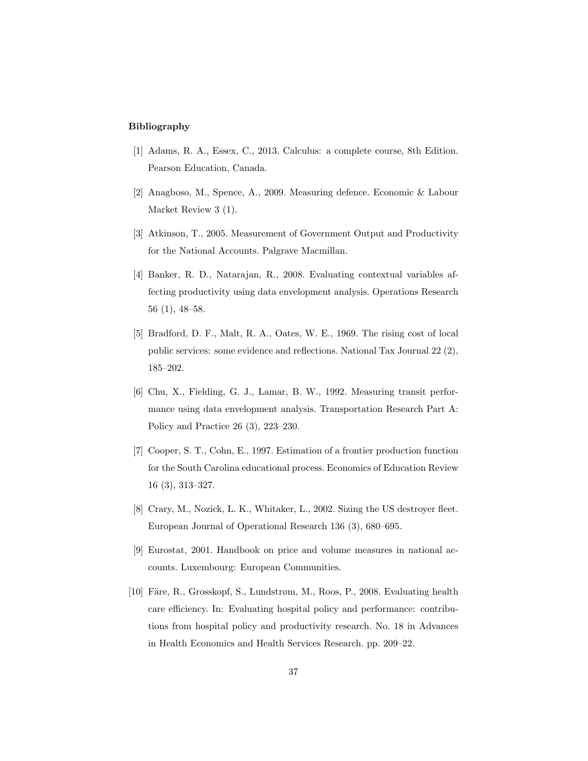### Bibliography

- [1] Adams, R. A., Essex, C., 2013. Calculus: a complete course, 8th Edition. Pearson Education, Canada.
- [2] Anagboso, M., Spence, A., 2009. Measuring defence. Economic & Labour Market Review 3 (1).
- [3] Atkinson, T., 2005. Measurement of Government Output and Productivity for the National Accounts. Palgrave Macmillan.
- [4] Banker, R. D., Natarajan, R., 2008. Evaluating contextual variables affecting productivity using data envelopment analysis. Operations Research 56 (1), 48–58.
- [5] Bradford, D. F., Malt, R. A., Oates, W. E., 1969. The rising cost of local public services: some evidence and reflections. National Tax Journal 22 (2), 185–202.
- [6] Chu, X., Fielding, G. J., Lamar, B. W., 1992. Measuring transit performance using data envelopment analysis. Transportation Research Part A: Policy and Practice 26 (3), 223–230.
- [7] Cooper, S. T., Cohn, E., 1997. Estimation of a frontier production function for the South Carolina educational process. Economics of Education Review 16 (3), 313–327.
- [8] Crary, M., Nozick, L. K., Whitaker, L., 2002. Sizing the US destroyer fleet. European Journal of Operational Research 136 (3), 680–695.
- [9] Eurostat, 2001. Handbook on price and volume measures in national accounts. Luxembourg: European Communities.
- [10] Färe, R., Grosskopf, S., Lundstrøm, M., Roos, P., 2008. Evaluating health care efficiency. In: Evaluating hospital policy and performance: contributions from hospital policy and productivity research. No. 18 in Advances in Health Economics and Health Services Research. pp. 209–22.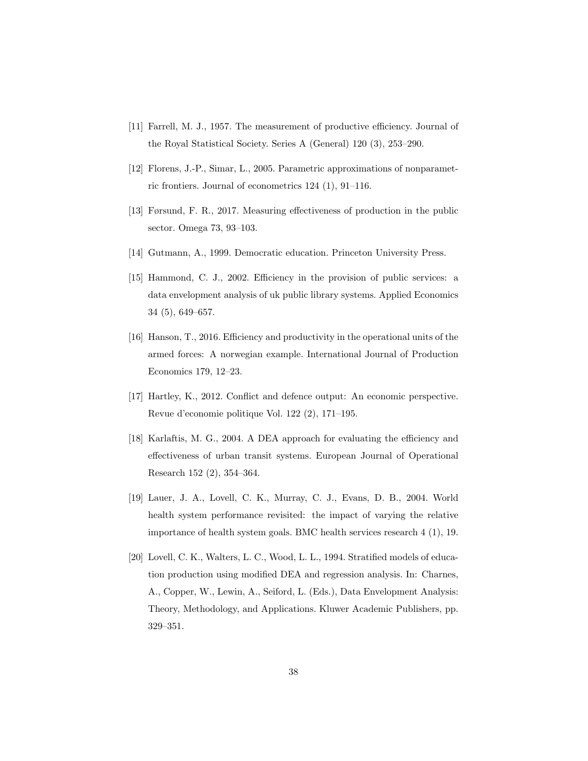- [11] Farrell, M. J., 1957. The measurement of productive efficiency. Journal of the Royal Statistical Society. Series A (General) 120 (3), 253–290.
- [12] Florens, J.-P., Simar, L., 2005. Parametric approximations of nonparametric frontiers. Journal of econometrics 124 (1), 91–116.
- [13] Førsund, F. R., 2017. Measuring effectiveness of production in the public sector. Omega 73, 93–103.
- [14] Gutmann, A., 1999. Democratic education. Princeton University Press.
- [15] Hammond, C. J., 2002. Efficiency in the provision of public services: a data envelopment analysis of uk public library systems. Applied Economics 34 (5), 649–657.
- [16] Hanson, T., 2016. Efficiency and productivity in the operational units of the armed forces: A norwegian example. International Journal of Production Economics 179, 12–23.
- [17] Hartley, K., 2012. Conflict and defence output: An economic perspective. Revue d'economie politique Vol. 122 (2), 171–195.
- [18] Karlaftis, M. G., 2004. A DEA approach for evaluating the efficiency and effectiveness of urban transit systems. European Journal of Operational Research 152 (2), 354–364.
- [19] Lauer, J. A., Lovell, C. K., Murray, C. J., Evans, D. B., 2004. World health system performance revisited: the impact of varying the relative importance of health system goals. BMC health services research 4 (1), 19.
- [20] Lovell, C. K., Walters, L. C., Wood, L. L., 1994. Stratified models of education production using modified DEA and regression analysis. In: Charnes, A., Copper, W., Lewin, A., Seiford, L. (Eds.), Data Envelopment Analysis: Theory, Methodology, and Applications. Kluwer Academic Publishers, pp. 329–351.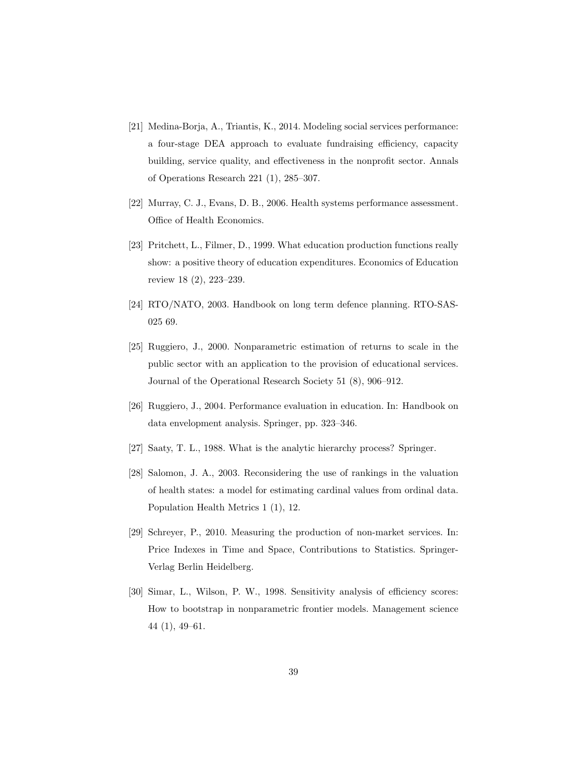- [21] Medina-Borja, A., Triantis, K., 2014. Modeling social services performance: a four-stage DEA approach to evaluate fundraising efficiency, capacity building, service quality, and effectiveness in the nonprofit sector. Annals of Operations Research 221 (1), 285–307.
- [22] Murray, C. J., Evans, D. B., 2006. Health systems performance assessment. Office of Health Economics.
- [23] Pritchett, L., Filmer, D., 1999. What education production functions really show: a positive theory of education expenditures. Economics of Education review 18 (2), 223–239.
- [24] RTO/NATO, 2003. Handbook on long term defence planning. RTO-SAS-025 69.
- [25] Ruggiero, J., 2000. Nonparametric estimation of returns to scale in the public sector with an application to the provision of educational services. Journal of the Operational Research Society 51 (8), 906–912.
- [26] Ruggiero, J., 2004. Performance evaluation in education. In: Handbook on data envelopment analysis. Springer, pp. 323–346.
- [27] Saaty, T. L., 1988. What is the analytic hierarchy process? Springer.
- [28] Salomon, J. A., 2003. Reconsidering the use of rankings in the valuation of health states: a model for estimating cardinal values from ordinal data. Population Health Metrics 1 (1), 12.
- [29] Schreyer, P., 2010. Measuring the production of non-market services. In: Price Indexes in Time and Space, Contributions to Statistics. Springer-Verlag Berlin Heidelberg.
- [30] Simar, L., Wilson, P. W., 1998. Sensitivity analysis of efficiency scores: How to bootstrap in nonparametric frontier models. Management science 44 (1), 49–61.